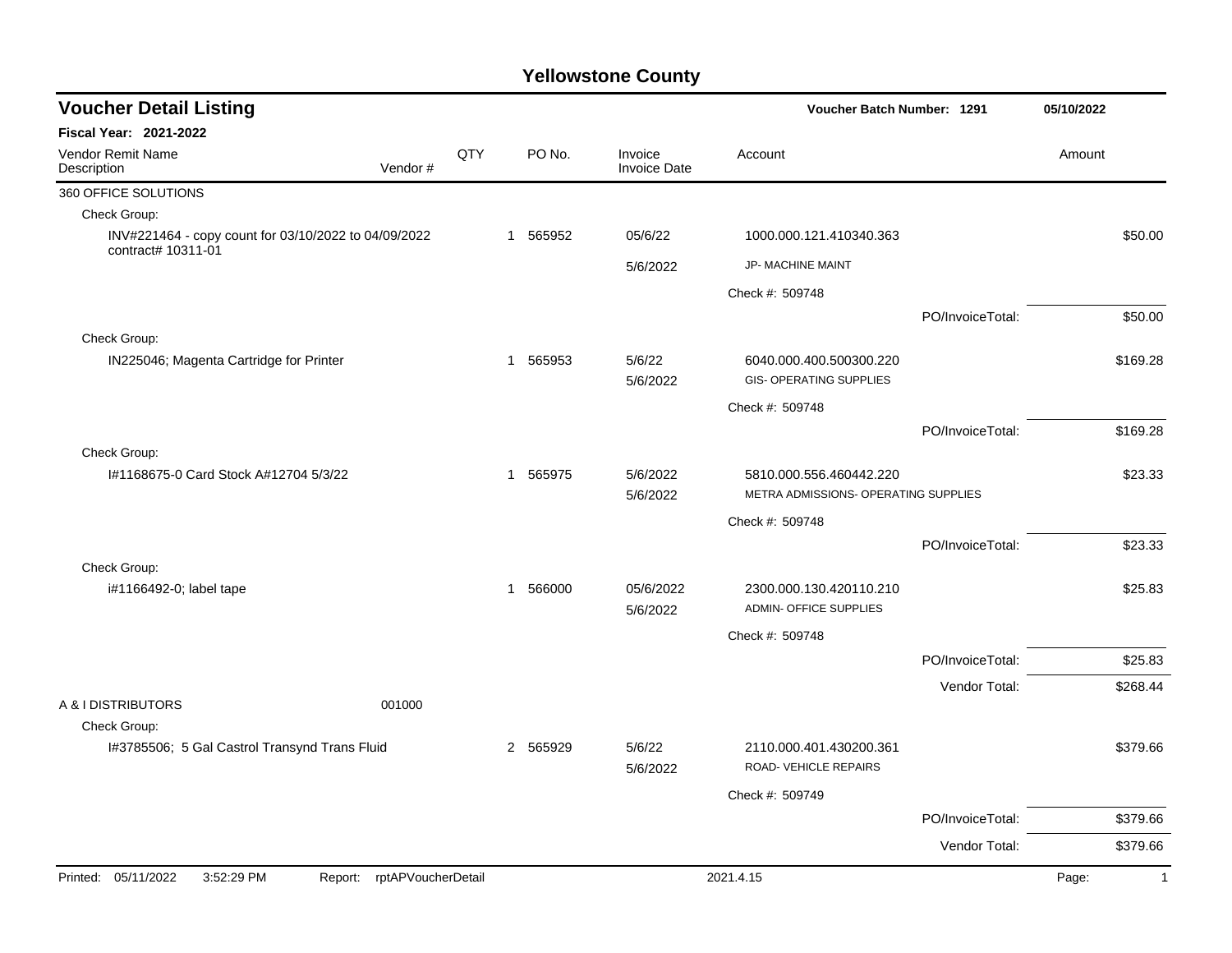| <b>Voucher Detail Listing</b>                                              |              |          |                                | Voucher Batch Number: 1291                                | 05/10/2022       |                      |
|----------------------------------------------------------------------------|--------------|----------|--------------------------------|-----------------------------------------------------------|------------------|----------------------|
| <b>Fiscal Year: 2021-2022</b>                                              |              |          |                                |                                                           |                  |                      |
| Vendor Remit Name<br><b>QTY</b><br>Vendor#<br>Description                  |              | PO No.   | Invoice<br><b>Invoice Date</b> | Account                                                   |                  | Amount               |
| 360 OFFICE SOLUTIONS                                                       |              |          |                                |                                                           |                  |                      |
| Check Group:                                                               |              |          |                                |                                                           |                  |                      |
| INV#221464 - copy count for 03/10/2022 to 04/09/2022<br>contract# 10311-01 | $\mathbf{1}$ | 565952   | 05/6/22                        | 1000.000.121.410340.363                                   |                  | \$50.00              |
|                                                                            |              |          | 5/6/2022                       | JP- MACHINE MAINT                                         |                  |                      |
|                                                                            |              |          |                                | Check #: 509748                                           |                  |                      |
|                                                                            |              |          |                                |                                                           | PO/InvoiceTotal: | \$50.00              |
| Check Group:                                                               |              |          |                                |                                                           |                  |                      |
| IN225046; Magenta Cartridge for Printer                                    |              | 1 565953 | 5/6/22<br>5/6/2022             | 6040.000.400.500300.220<br><b>GIS- OPERATING SUPPLIES</b> |                  | \$169.28             |
|                                                                            |              |          |                                | Check #: 509748                                           |                  |                      |
|                                                                            |              |          |                                |                                                           | PO/InvoiceTotal: | \$169.28             |
| Check Group:                                                               |              |          |                                |                                                           |                  |                      |
| I#1168675-0 Card Stock A#12704 5/3/22                                      | $\mathbf 1$  | 565975   | 5/6/2022                       | 5810.000.556.460442.220                                   |                  | \$23.33              |
|                                                                            |              |          | 5/6/2022                       | METRA ADMISSIONS- OPERATING SUPPLIES                      |                  |                      |
|                                                                            |              |          |                                | Check #: 509748                                           |                  |                      |
|                                                                            |              |          |                                |                                                           | PO/InvoiceTotal: | \$23.33              |
| Check Group:                                                               |              |          |                                |                                                           |                  |                      |
| i#1166492-0; label tape                                                    | $\mathbf 1$  | 566000   | 05/6/2022                      | 2300.000.130.420110.210                                   |                  | \$25.83              |
|                                                                            |              |          | 5/6/2022                       | <b>ADMIN- OFFICE SUPPLIES</b>                             |                  |                      |
|                                                                            |              |          |                                | Check #: 509748                                           |                  |                      |
|                                                                            |              |          |                                |                                                           | PO/InvoiceTotal: | \$25.83              |
|                                                                            |              |          |                                |                                                           | Vendor Total:    | \$268.44             |
| A & I DISTRIBUTORS<br>001000<br>Check Group:                               |              |          |                                |                                                           |                  |                      |
| I#3785506; 5 Gal Castrol Transynd Trans Fluid                              |              | 2 565929 | 5/6/22                         | 2110.000.401.430200.361                                   |                  | \$379.66             |
|                                                                            |              |          | 5/6/2022                       | ROAD-VEHICLE REPAIRS                                      |                  |                      |
|                                                                            |              |          |                                | Check #: 509749                                           |                  |                      |
|                                                                            |              |          |                                |                                                           | PO/InvoiceTotal: | \$379.66             |
|                                                                            |              |          |                                |                                                           | Vendor Total:    | \$379.66             |
| Printed: 05/11/2022<br>3:52:29 PM<br>rptAPVoucherDetail<br>Report:         |              |          |                                | 2021.4.15                                                 |                  | Page:<br>$\mathbf 1$ |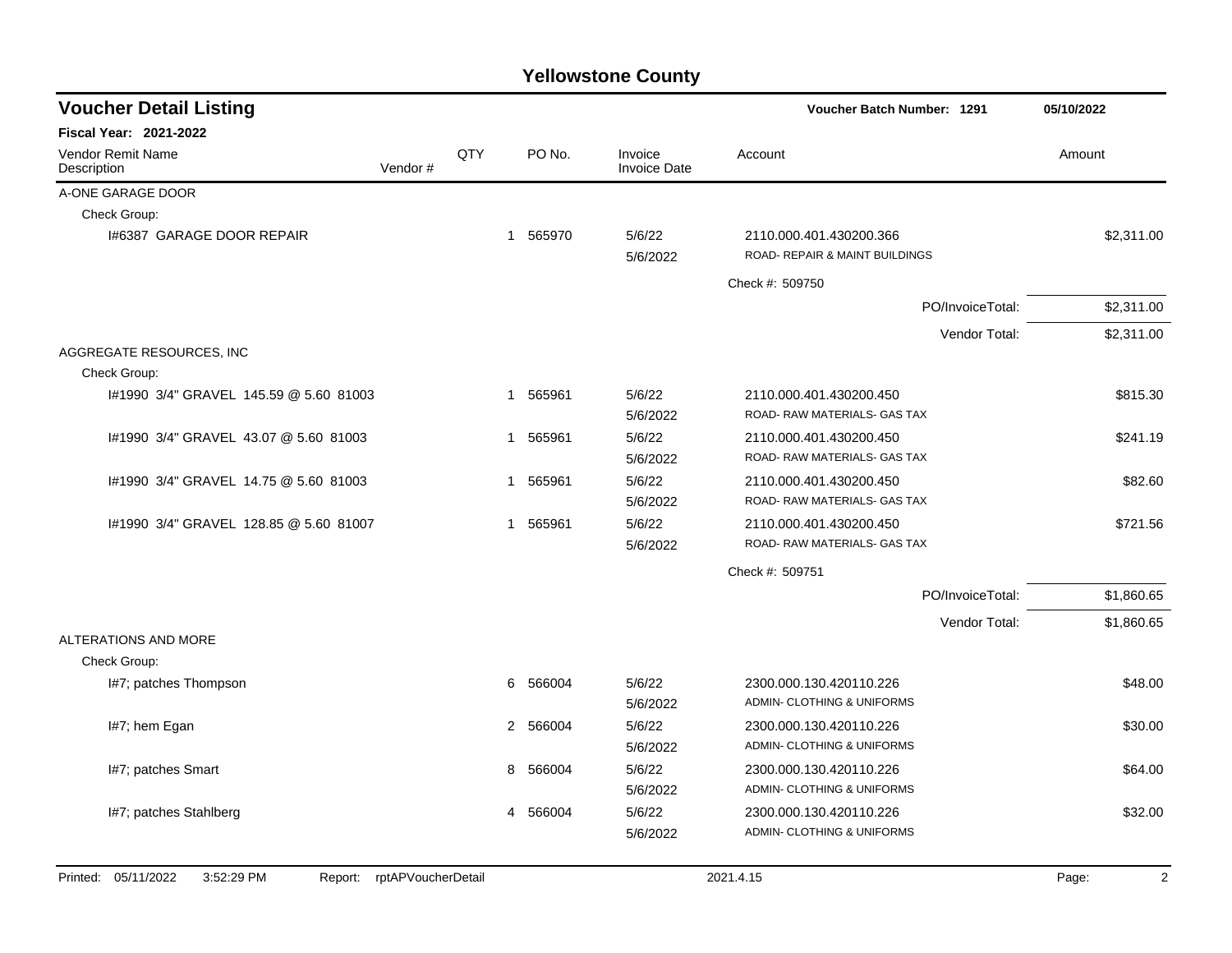| <b>Voucher Detail Listing</b>                | Voucher Batch Number: 1291 |   | 05/10/2022 |                                |                                                           |                         |
|----------------------------------------------|----------------------------|---|------------|--------------------------------|-----------------------------------------------------------|-------------------------|
| Fiscal Year: 2021-2022                       |                            |   |            |                                |                                                           |                         |
| Vendor Remit Name<br>Description             | QTY<br>Vendor#             |   | PO No.     | Invoice<br><b>Invoice Date</b> | Account                                                   | Amount                  |
| A-ONE GARAGE DOOR                            |                            |   |            |                                |                                                           |                         |
| Check Group:                                 |                            |   |            |                                |                                                           |                         |
| 1#6387 GARAGE DOOR REPAIR                    |                            |   | 1 565970   | 5/6/22<br>5/6/2022             | 2110.000.401.430200.366<br>ROAD- REPAIR & MAINT BUILDINGS | \$2,311.00              |
|                                              |                            |   |            |                                | Check #: 509750                                           |                         |
|                                              |                            |   |            |                                | PO/InvoiceTotal:                                          | \$2,311.00              |
|                                              |                            |   |            |                                | Vendor Total:                                             | \$2,311.00              |
| AGGREGATE RESOURCES, INC.                    |                            |   |            |                                |                                                           |                         |
| Check Group:                                 |                            |   |            |                                |                                                           |                         |
| I#1990 3/4" GRAVEL 145.59 @ 5.60 81003       |                            |   | 1 565961   | 5/6/22<br>5/6/2022             | 2110.000.401.430200.450<br>ROAD-RAW MATERIALS- GAS TAX    | \$815.30                |
| #1990 3/4" GRAVEL 43.07 @ 5.60 81003         |                            | 1 | 565961     | 5/6/22<br>5/6/2022             | 2110.000.401.430200.450<br>ROAD- RAW MATERIALS- GAS TAX   | \$241.19                |
| #1990 3/4" GRAVEL 14.75 @ 5.60 81003         |                            | 1 | 565961     | 5/6/22<br>5/6/2022             | 2110.000.401.430200.450<br>ROAD- RAW MATERIALS- GAS TAX   | \$82.60                 |
| I#1990 3/4" GRAVEL 128.85 @ 5.60 81007       |                            | 1 | 565961     | 5/6/22<br>5/6/2022             | 2110.000.401.430200.450<br>ROAD- RAW MATERIALS- GAS TAX   | \$721.56                |
|                                              |                            |   |            |                                | Check #: 509751                                           |                         |
|                                              |                            |   |            |                                | PO/InvoiceTotal:                                          | \$1,860.65              |
|                                              |                            |   |            |                                | Vendor Total:                                             | \$1,860.65              |
| ALTERATIONS AND MORE<br>Check Group:         |                            |   |            |                                |                                                           |                         |
| I#7; patches Thompson                        |                            | 6 | 566004     | 5/6/22<br>5/6/2022             | 2300.000.130.420110.226<br>ADMIN- CLOTHING & UNIFORMS     | \$48.00                 |
| I#7; hem Egan                                |                            | 2 | 566004     | 5/6/22<br>5/6/2022             | 2300.000.130.420110.226<br>ADMIN- CLOTHING & UNIFORMS     | \$30.00                 |
| I#7; patches Smart                           |                            | 8 | 566004     | 5/6/22<br>5/6/2022             | 2300.000.130.420110.226<br>ADMIN- CLOTHING & UNIFORMS     | \$64.00                 |
| I#7; patches Stahlberg                       |                            | 4 | 566004     | 5/6/22<br>5/6/2022             | 2300.000.130.420110.226<br>ADMIN- CLOTHING & UNIFORMS     | \$32.00                 |
| Printed: 05/11/2022<br>3:52:29 PM<br>Report: | rptAPVoucherDetail         |   |            |                                | 2021.4.15                                                 | Page:<br>$\overline{2}$ |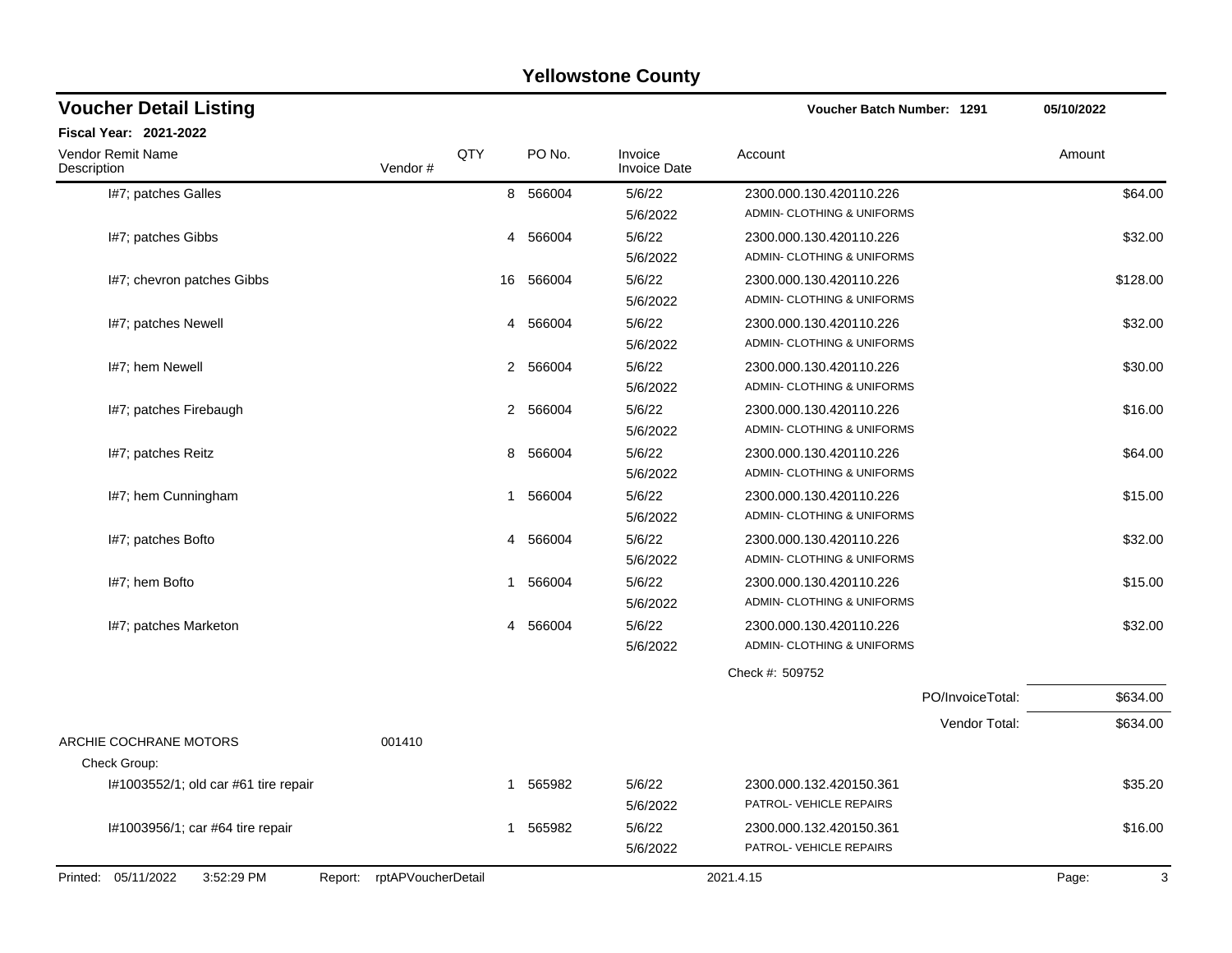| <b>Voucher Detail Listing</b>        |                            |             |                                | Voucher Batch Number: 1291                            |                  | 05/10/2022 |
|--------------------------------------|----------------------------|-------------|--------------------------------|-------------------------------------------------------|------------------|------------|
| Fiscal Year: 2021-2022               |                            |             |                                |                                                       |                  |            |
| Vendor Remit Name<br>Description     | QTY<br>Vendor#             | PO No.      | Invoice<br><b>Invoice Date</b> | Account                                               |                  | Amount     |
| I#7; patches Galles                  |                            | 8 566004    | 5/6/22<br>5/6/2022             | 2300.000.130.420110.226<br>ADMIN- CLOTHING & UNIFORMS |                  | \$64.00    |
| I#7; patches Gibbs                   |                            | 566004<br>4 | 5/6/22<br>5/6/2022             | 2300.000.130.420110.226<br>ADMIN- CLOTHING & UNIFORMS |                  | \$32.00    |
| I#7; chevron patches Gibbs           |                            | 16 566004   | 5/6/22<br>5/6/2022             | 2300.000.130.420110.226<br>ADMIN- CLOTHING & UNIFORMS |                  | \$128.00   |
| I#7; patches Newell                  |                            | 4 566004    | 5/6/22<br>5/6/2022             | 2300.000.130.420110.226<br>ADMIN- CLOTHING & UNIFORMS |                  | \$32.00    |
| I#7; hem Newell                      |                            | 2 566004    | 5/6/22<br>5/6/2022             | 2300.000.130.420110.226<br>ADMIN- CLOTHING & UNIFORMS |                  | \$30.00    |
| I#7; patches Firebaugh               |                            | 2 566004    | 5/6/22<br>5/6/2022             | 2300.000.130.420110.226<br>ADMIN- CLOTHING & UNIFORMS |                  | \$16.00    |
| I#7; patches Reitz                   |                            | 566004<br>8 | 5/6/22<br>5/6/2022             | 2300.000.130.420110.226<br>ADMIN- CLOTHING & UNIFORMS |                  | \$64.00    |
| I#7; hem Cunningham                  |                            | 566004<br>1 | 5/6/22<br>5/6/2022             | 2300.000.130.420110.226<br>ADMIN- CLOTHING & UNIFORMS |                  | \$15.00    |
| I#7; patches Bofto                   |                            | 566004<br>4 | 5/6/22<br>5/6/2022             | 2300.000.130.420110.226<br>ADMIN- CLOTHING & UNIFORMS |                  | \$32.00    |
| I#7; hem Bofto                       |                            | 566004<br>1 | 5/6/22<br>5/6/2022             | 2300.000.130.420110.226<br>ADMIN- CLOTHING & UNIFORMS |                  | \$15.00    |
| I#7; patches Marketon                | 4                          | 566004      | 5/6/22<br>5/6/2022             | 2300.000.130.420110.226<br>ADMIN- CLOTHING & UNIFORMS |                  | \$32.00    |
|                                      |                            |             |                                | Check #: 509752                                       |                  |            |
|                                      |                            |             |                                |                                                       | PO/InvoiceTotal: | \$634.00   |
| ARCHIE COCHRANE MOTORS               | 001410                     |             |                                |                                                       | Vendor Total:    | \$634.00   |
| Check Group:                         |                            |             |                                |                                                       |                  |            |
| I#1003552/1; old car #61 tire repair |                            | 565982<br>1 | 5/6/22<br>5/6/2022             | 2300.000.132.420150.361<br>PATROL- VEHICLE REPAIRS    |                  | \$35.20    |
| I#1003956/1; car #64 tire repair     |                            | 1 565982    | 5/6/22<br>5/6/2022             | 2300.000.132.420150.361<br>PATROL-VEHICLE REPAIRS     |                  | \$16.00    |
| Printed: 05/11/2022<br>3:52:29 PM    | Report: rptAPVoucherDetail |             |                                | 2021.4.15                                             |                  | 3<br>Page: |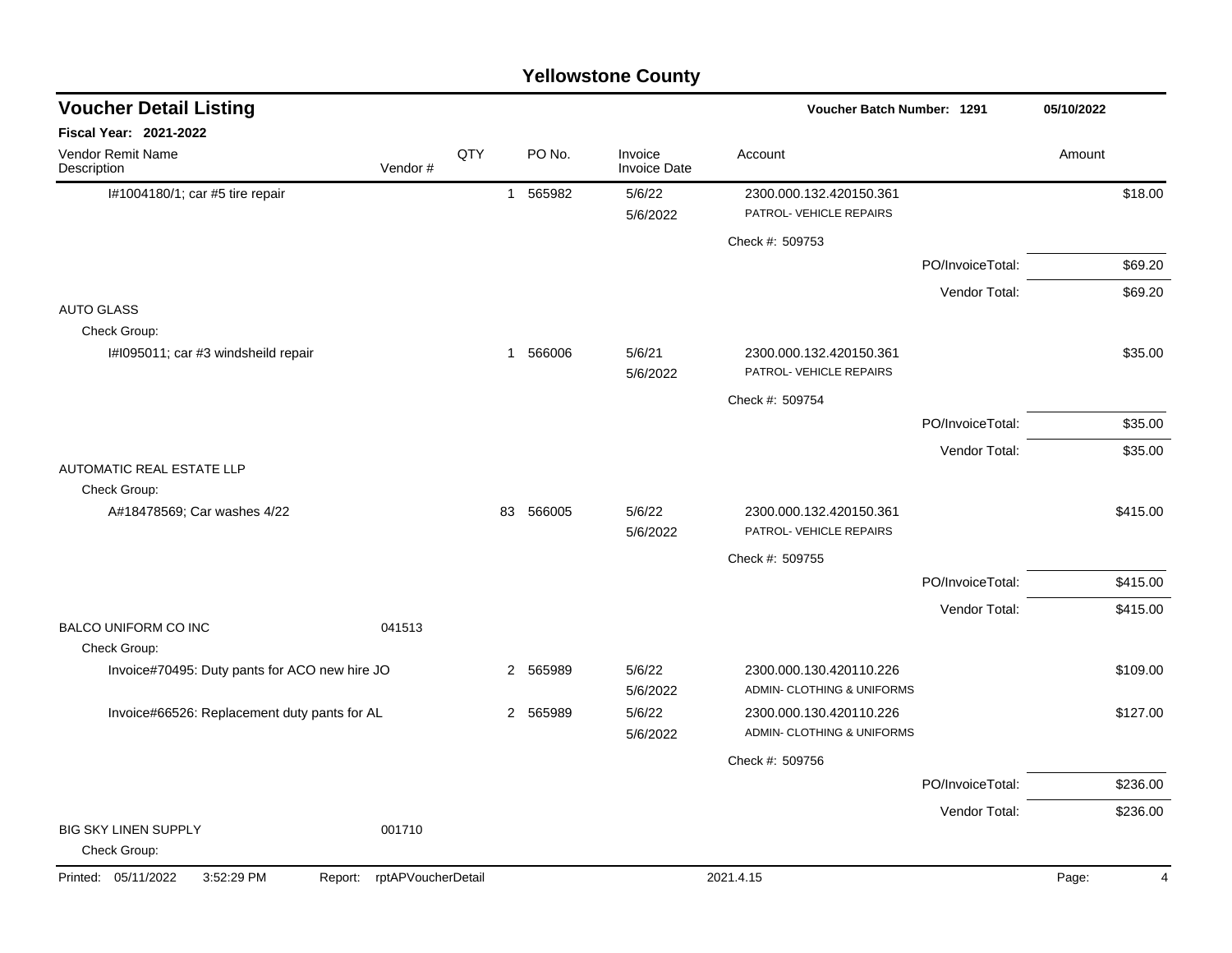|                                               |                               |     |                        | <b>Yellowstone County</b>      |                                                       |                  |            |
|-----------------------------------------------|-------------------------------|-----|------------------------|--------------------------------|-------------------------------------------------------|------------------|------------|
| <b>Voucher Detail Listing</b>                 |                               |     |                        |                                | <b>Voucher Batch Number: 1291</b>                     |                  | 05/10/2022 |
| Fiscal Year: 2021-2022                        |                               |     |                        |                                |                                                       |                  |            |
| Vendor Remit Name<br>Description              | Vendor#                       | QTY | PO No.                 | Invoice<br><b>Invoice Date</b> | Account                                               |                  | Amount     |
| I#1004180/1; car #5 tire repair               |                               |     | 565982<br>$\mathbf{1}$ | 5/6/22                         | 2300.000.132.420150.361                               |                  | \$18.00    |
|                                               |                               |     |                        | 5/6/2022                       | PATROL-VEHICLE REPAIRS                                |                  |            |
|                                               |                               |     |                        |                                | Check #: 509753                                       |                  |            |
|                                               |                               |     |                        |                                |                                                       | PO/InvoiceTotal: | \$69.20    |
|                                               |                               |     |                        |                                |                                                       | Vendor Total:    | \$69.20    |
| <b>AUTO GLASS</b><br>Check Group:             |                               |     |                        |                                |                                                       |                  |            |
| I#1095011; car #3 windsheild repair           |                               |     | 1 566006               | 5/6/21<br>5/6/2022             | 2300.000.132.420150.361<br>PATROL- VEHICLE REPAIRS    |                  | \$35.00    |
|                                               |                               |     |                        |                                | Check #: 509754                                       |                  |            |
|                                               |                               |     |                        |                                |                                                       | PO/InvoiceTotal: | \$35.00    |
|                                               |                               |     |                        |                                |                                                       | Vendor Total:    | \$35.00    |
| <b>AUTOMATIC REAL ESTATE LLP</b>              |                               |     |                        |                                |                                                       |                  |            |
| Check Group:                                  |                               |     |                        |                                |                                                       |                  |            |
| A#18478569; Car washes 4/22                   |                               | 83  | 566005                 | 5/6/22<br>5/6/2022             | 2300.000.132.420150.361<br>PATROL- VEHICLE REPAIRS    |                  | \$415.00   |
|                                               |                               |     |                        |                                | Check #: 509755                                       |                  |            |
|                                               |                               |     |                        |                                |                                                       | PO/InvoiceTotal: | \$415.00   |
|                                               |                               |     |                        |                                |                                                       | Vendor Total:    | \$415.00   |
| <b>BALCO UNIFORM CO INC</b>                   | 041513                        |     |                        |                                |                                                       |                  |            |
| Check Group:                                  |                               |     |                        |                                |                                                       |                  |            |
| Invoice#70495: Duty pants for ACO new hire JO |                               |     | 2 565989               | 5/6/22                         | 2300.000.130.420110.226                               |                  | \$109.00   |
| Invoice#66526: Replacement duty pants for AL  |                               |     | 2 565989               | 5/6/2022<br>5/6/22             | ADMIN- CLOTHING & UNIFORMS<br>2300.000.130.420110.226 |                  | \$127.00   |
|                                               |                               |     |                        | 5/6/2022                       | ADMIN- CLOTHING & UNIFORMS                            |                  |            |
|                                               |                               |     |                        |                                | Check #: 509756                                       |                  |            |
|                                               |                               |     |                        |                                |                                                       | PO/InvoiceTotal: | \$236.00   |
|                                               |                               |     |                        |                                |                                                       | Vendor Total:    | \$236.00   |
| BIG SKY LINEN SUPPLY<br>Check Group:          | 001710                        |     |                        |                                |                                                       |                  |            |
| Printed: 05/11/2022<br>3:52:29 PM             | rptAPVoucherDetail<br>Report: |     |                        |                                | 2021.4.15                                             |                  | Page:<br>4 |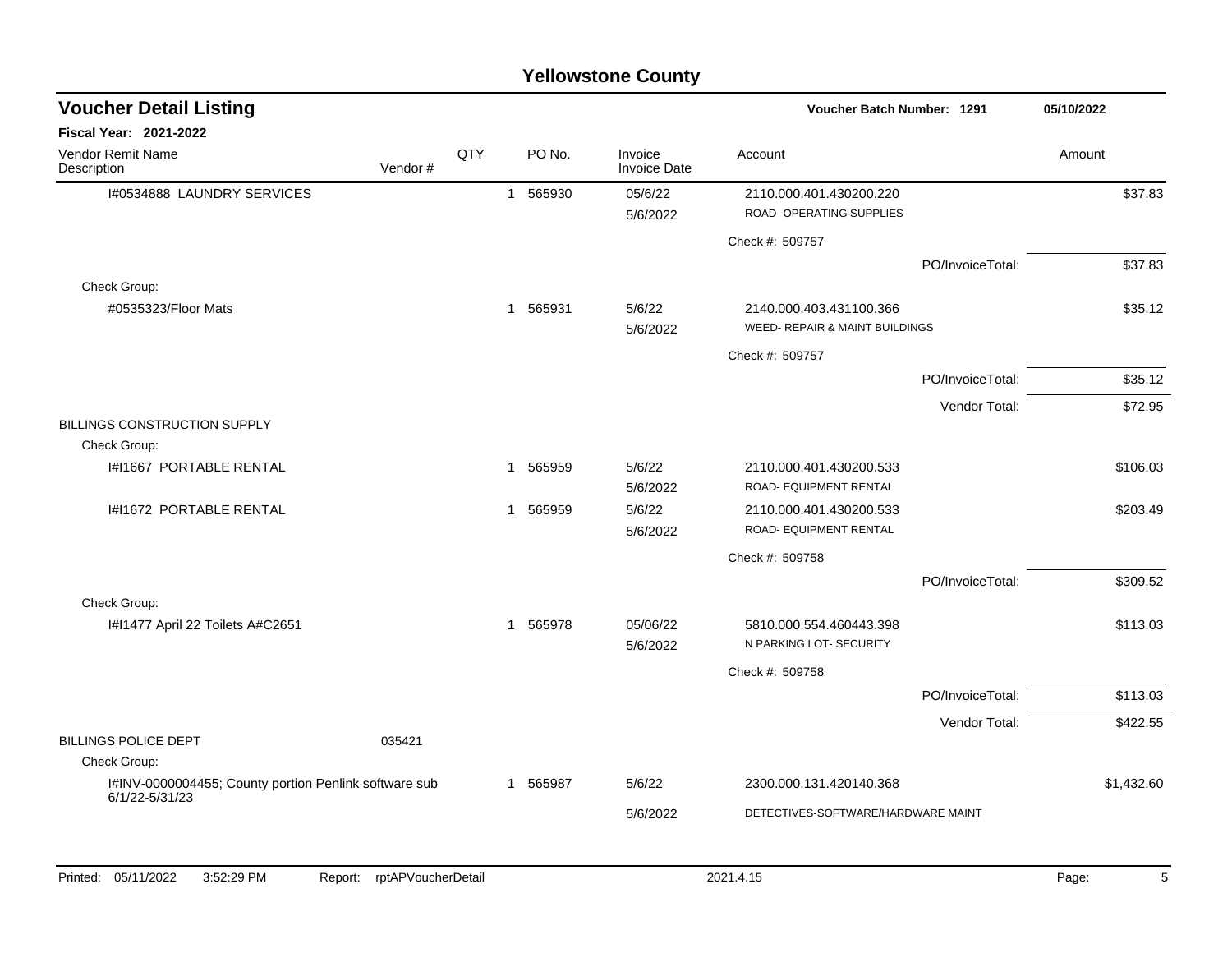| <b>Voucher Detail Listing</b>                         |         |     |   |          |                                | Voucher Batch Number: 1291                                |                  | 05/10/2022 |
|-------------------------------------------------------|---------|-----|---|----------|--------------------------------|-----------------------------------------------------------|------------------|------------|
| Fiscal Year: 2021-2022                                |         |     |   |          |                                |                                                           |                  |            |
| <b>Vendor Remit Name</b><br>Description               | Vendor# | QTY |   | PO No.   | Invoice<br><b>Invoice Date</b> | Account                                                   |                  | Amount     |
| I#0534888 LAUNDRY SERVICES                            |         |     | 1 | 565930   | 05/6/22<br>5/6/2022            | 2110.000.401.430200.220<br>ROAD- OPERATING SUPPLIES       |                  | \$37.83    |
|                                                       |         |     |   |          |                                | Check #: 509757                                           |                  |            |
|                                                       |         |     |   |          |                                |                                                           | PO/InvoiceTotal: | \$37.83    |
| Check Group:                                          |         |     |   |          |                                |                                                           |                  |            |
| #0535323/Floor Mats                                   |         |     |   | 1 565931 | 5/6/22<br>5/6/2022             | 2140.000.403.431100.366<br>WEED- REPAIR & MAINT BUILDINGS |                  | \$35.12    |
|                                                       |         |     |   |          |                                | Check #: 509757                                           |                  |            |
|                                                       |         |     |   |          |                                |                                                           | PO/InvoiceTotal: | \$35.12    |
|                                                       |         |     |   |          |                                |                                                           | Vendor Total:    | \$72.95    |
| <b>BILLINGS CONSTRUCTION SUPPLY</b>                   |         |     |   |          |                                |                                                           |                  |            |
| Check Group:                                          |         |     |   |          |                                |                                                           |                  |            |
| <b>I#I1667 PORTABLE RENTAL</b>                        |         |     | 1 | 565959   | 5/6/22<br>5/6/2022             | 2110.000.401.430200.533<br>ROAD- EQUIPMENT RENTAL         |                  | \$106.03   |
| I#I1672 PORTABLE RENTAL                               |         |     | 1 | 565959   | 5/6/22<br>5/6/2022             | 2110.000.401.430200.533<br>ROAD- EQUIPMENT RENTAL         |                  | \$203.49   |
|                                                       |         |     |   |          |                                | Check #: 509758                                           |                  |            |
|                                                       |         |     |   |          |                                |                                                           | PO/InvoiceTotal: | \$309.52   |
| Check Group:                                          |         |     |   |          |                                |                                                           |                  |            |
| I#I1477 April 22 Toilets A#C2651                      |         |     |   | 1 565978 | 05/06/22<br>5/6/2022           | 5810.000.554.460443.398<br>N PARKING LOT- SECURITY        |                  | \$113.03   |
|                                                       |         |     |   |          |                                | Check #: 509758                                           |                  |            |
|                                                       |         |     |   |          |                                |                                                           | PO/InvoiceTotal: | \$113.03   |
|                                                       |         |     |   |          |                                |                                                           | Vendor Total:    | \$422.55   |
| <b>BILLINGS POLICE DEPT</b><br>Check Group:           | 035421  |     |   |          |                                |                                                           |                  |            |
| I#INV-0000004455; County portion Penlink software sub |         |     |   | 1 565987 | 5/6/22                         | 2300.000.131.420140.368                                   |                  | \$1,432.60 |
| 6/1/22-5/31/23                                        |         |     |   |          | 5/6/2022                       | DETECTIVES-SOFTWARE/HARDWARE MAINT                        |                  |            |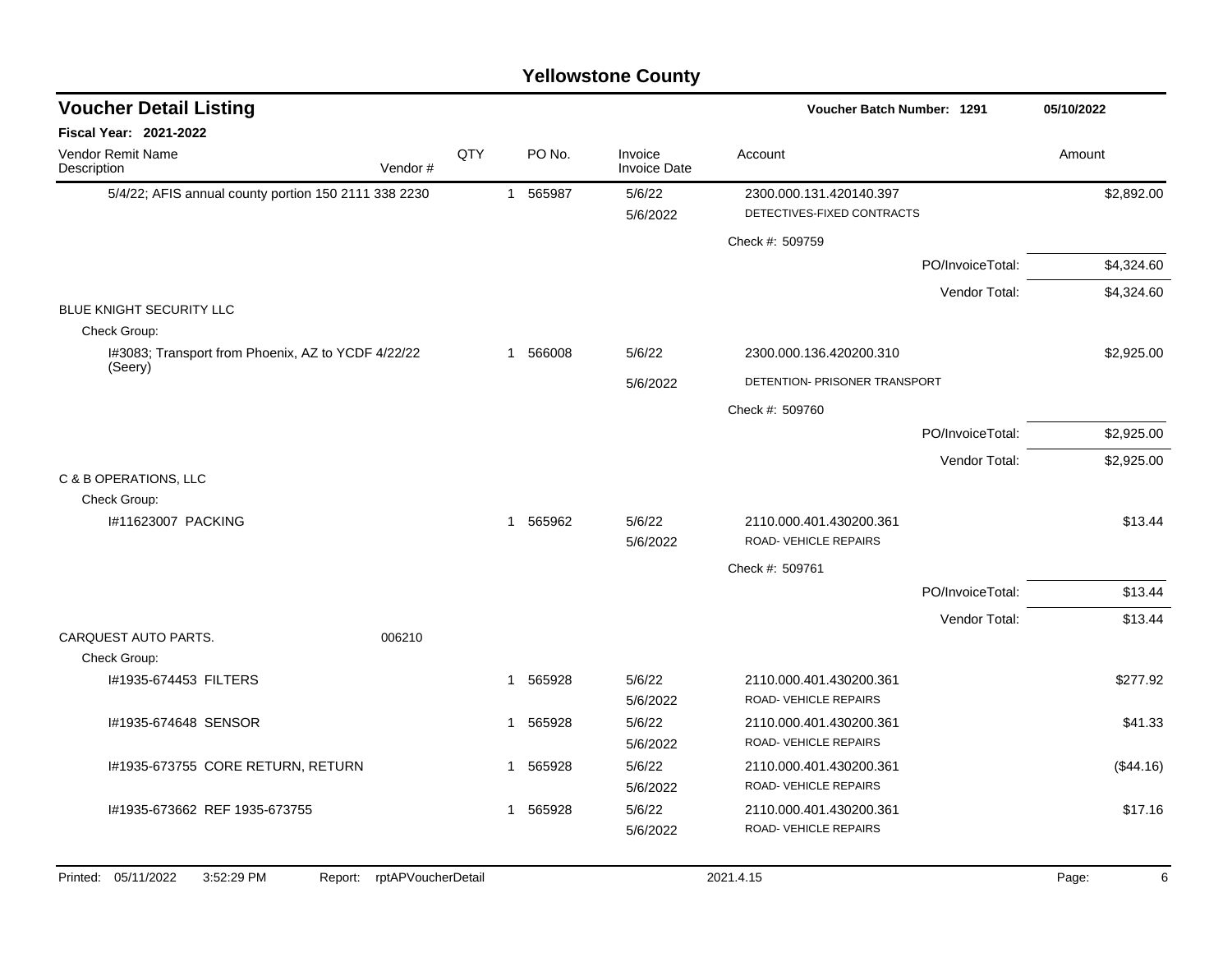#### 5/4/22; AFIS annual county portion 150 2111 338 2230 1 565987 5/6/22 2300.000.131.420140.397 \$2,892.00 5/6/2022 DETECTIVES-FIXED CONTRACTS Check #: 509759 PO/InvoiceTotal: \$4,324.60 Vendor Total: \$4,324.60 BLUE KNIGHT SECURITY LLC Check Group: I#3083; Transport from Phoenix, AZ to YCDF 4/22/22 (Seery) 1 566008 5/6/22 2300.000.136.420200.310 \$2,925.00 5/6/2022 DETENTION- PRISONER TRANSPORT Check #: 509760 PO/InvoiceTotal: \$2,925.00 Vendor Total: \$2,925.00 C & B OPERATIONS, LLC Check Group: 1#11623007 PACKING \$13.44 \$13.44 \$13.44 \$13.44 \$13.44 \$13.44 \$13.44 \$13.44 \$13.44 \$13.44 5/6/2022 ROAD- VEHICLE REPAIRS Check #: 509761 PO/InvoiceTotal: \$13.44 Vendor Total: \$13.44 CARQUEST AUTO PARTS. 006210 Check Group: l#1935-674453 FILTERS 1 565928 5/6/22 2110.000.401.430200.361 \$277.92 5/6/2022 ROAD- VEHICLE REPAIRS l#1935-674648 SENSOR \$41.33 \$41.33 5/6/2022 ROAD- VEHICLE REPAIRS I#1935-673755 CORE RETURN, RETURN 1 565928 5/6/22 2110.000.401.430200.361 (\$44.16) 5/6/2022 ROAD- VEHICLE REPAIRS l#1935-673662 REF 1935-673755 1 565928 5/6/22 2110.000.401.430200.361 \$17.16 5/6/2022 ROAD- VEHICLE REPAIRS **Voucher Batch Number:** Vendor Remit Name **Description Voucher Detail Listing Fiscal Year: 2021-2022 1291 05/10/2022** PO No. Invoice Account Amount Amount Amount Amount Vendor # **QTY** Invoice Date Printed: 05/11/2022 3:52:29 PM Report: rptAPVoucherDetail 2021.4.15 2021.4.15 Page: 6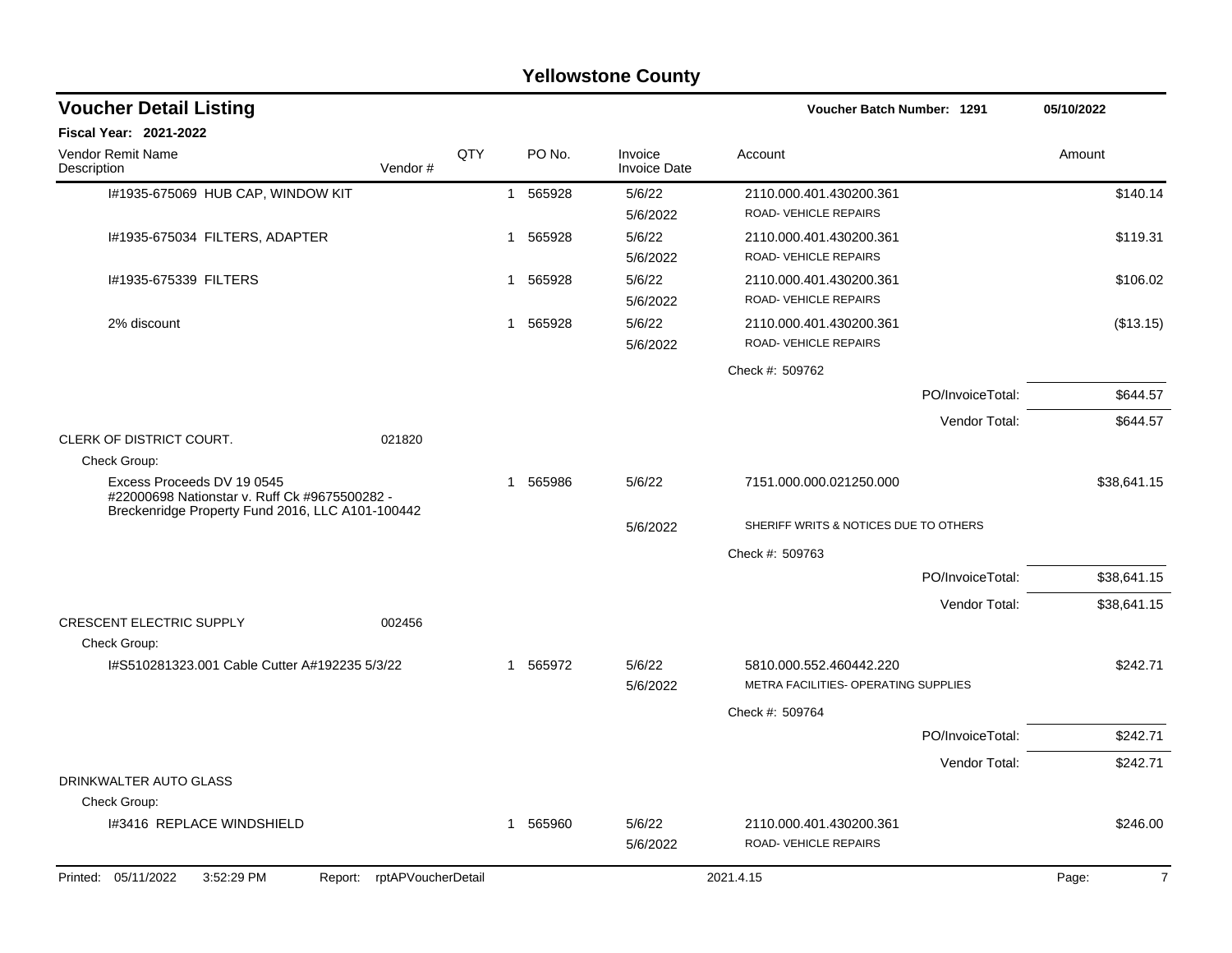|                                                                             |                            |     |              |          | <b>Yellowstone County</b>      |                                                                 |                  |             |
|-----------------------------------------------------------------------------|----------------------------|-----|--------------|----------|--------------------------------|-----------------------------------------------------------------|------------------|-------------|
| <b>Voucher Detail Listing</b>                                               |                            |     |              |          |                                | <b>Voucher Batch Number: 1291</b>                               |                  | 05/10/2022  |
| Fiscal Year: 2021-2022                                                      |                            |     |              |          |                                |                                                                 |                  |             |
| Vendor Remit Name<br>Description                                            | Vendor#                    | QTY |              | PO No.   | Invoice<br><b>Invoice Date</b> | Account                                                         |                  | Amount      |
| I#1935-675069 HUB CAP, WINDOW KIT                                           |                            |     | -1           | 565928   | 5/6/22<br>5/6/2022             | 2110.000.401.430200.361<br>ROAD-VEHICLE REPAIRS                 |                  | \$140.14    |
| I#1935-675034 FILTERS, ADAPTER                                              |                            |     | -1           | 565928   | 5/6/22<br>5/6/2022             | 2110.000.401.430200.361<br>ROAD-VEHICLE REPAIRS                 |                  | \$119.31    |
| #1935-675339 FILTERS                                                        |                            |     | 1            | 565928   | 5/6/22<br>5/6/2022             | 2110.000.401.430200.361<br>ROAD-VEHICLE REPAIRS                 |                  | \$106.02    |
| 2% discount                                                                 |                            |     | 1            | 565928   | 5/6/22<br>5/6/2022             | 2110.000.401.430200.361<br>ROAD-VEHICLE REPAIRS                 |                  | (\$13.15)   |
|                                                                             |                            |     |              |          |                                | Check #: 509762                                                 |                  |             |
|                                                                             |                            |     |              |          |                                |                                                                 | PO/InvoiceTotal: | \$644.57    |
|                                                                             |                            |     |              |          |                                |                                                                 | Vendor Total:    | \$644.57    |
| CLERK OF DISTRICT COURT.                                                    | 021820                     |     |              |          |                                |                                                                 |                  |             |
| Check Group:                                                                |                            |     |              |          |                                |                                                                 |                  |             |
| Excess Proceeds DV 19 0545<br>#22000698 Nationstar v. Ruff Ck #9675500282 - |                            |     | $\mathbf{1}$ | 565986   | 5/6/22                         | 7151.000.000.021250.000                                         |                  | \$38,641.15 |
| Breckenridge Property Fund 2016, LLC A101-100442                            |                            |     |              |          | 5/6/2022                       | SHERIFF WRITS & NOTICES DUE TO OTHERS                           |                  |             |
|                                                                             |                            |     |              |          |                                | Check #: 509763                                                 |                  |             |
|                                                                             |                            |     |              |          |                                |                                                                 | PO/InvoiceTotal: | \$38,641.15 |
|                                                                             |                            |     |              |          |                                |                                                                 | Vendor Total:    | \$38,641.15 |
| <b>CRESCENT ELECTRIC SUPPLY</b><br>Check Group:                             | 002456                     |     |              |          |                                |                                                                 |                  |             |
| I#S510281323.001 Cable Cutter A#192235 5/3/22                               |                            |     |              | 1 565972 | 5/6/22<br>5/6/2022             | 5810.000.552.460442.220<br>METRA FACILITIES- OPERATING SUPPLIES |                  | \$242.71    |
|                                                                             |                            |     |              |          |                                | Check #: 509764                                                 |                  |             |
|                                                                             |                            |     |              |          |                                |                                                                 | PO/InvoiceTotal: | \$242.71    |
|                                                                             |                            |     |              |          |                                |                                                                 | Vendor Total:    | \$242.71    |
| DRINKWALTER AUTO GLASS                                                      |                            |     |              |          |                                |                                                                 |                  |             |
| Check Group:                                                                |                            |     |              |          |                                |                                                                 |                  |             |
| I#3416 REPLACE WINDSHIELD                                                   |                            |     |              | 1 565960 | 5/6/22<br>5/6/2022             | 2110.000.401.430200.361<br>ROAD-VEHICLE REPAIRS                 |                  | \$246.00    |
| Printed: 05/11/2022<br>3:52:29 PM                                           | Report: rptAPVoucherDetail |     |              |          |                                | 2021.4.15                                                       |                  | 7<br>Page:  |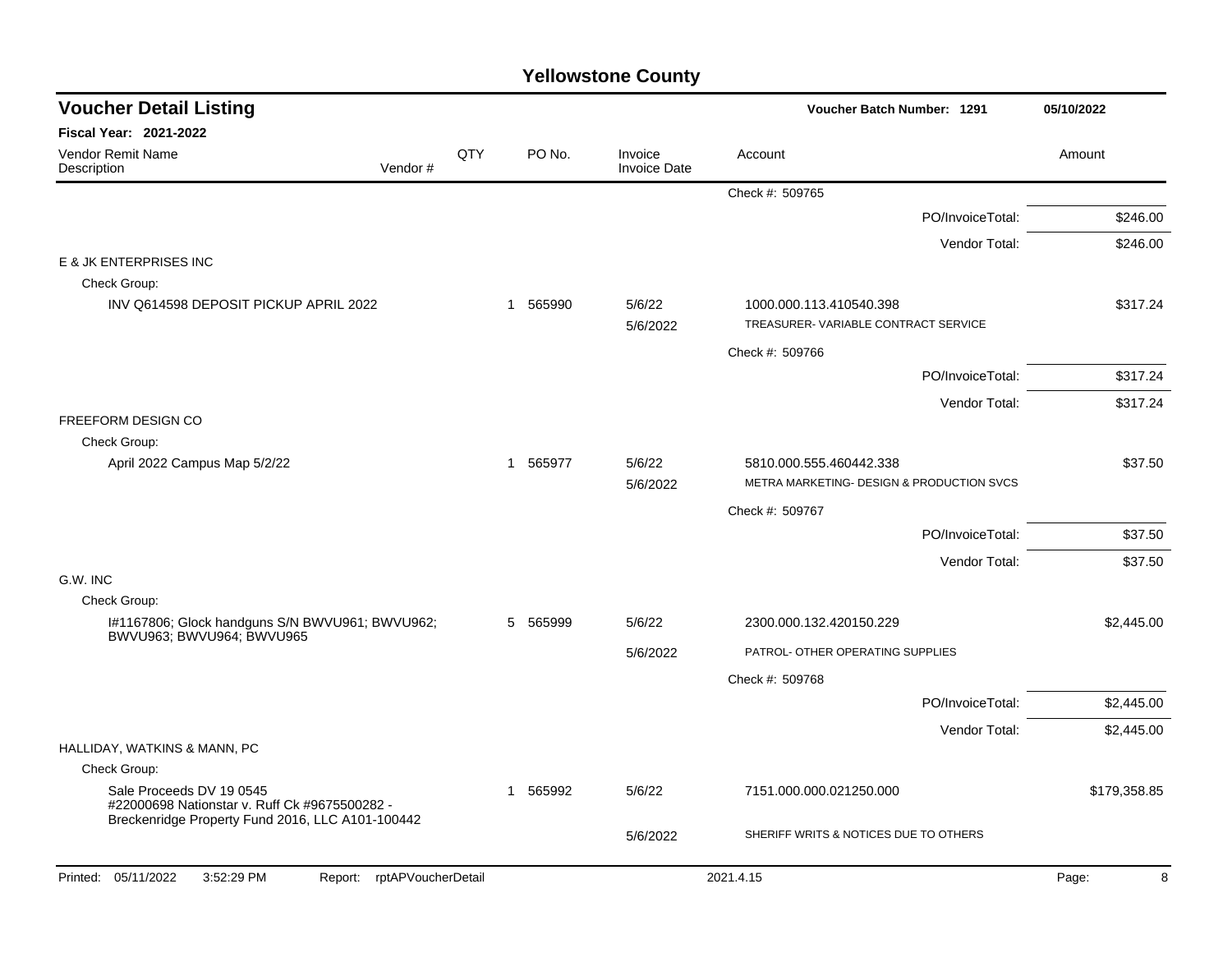| <b>Voucher Detail Listing</b>                                                                                                 |     |              |                                | Voucher Batch Number: 1291                                     | 05/10/2022   |
|-------------------------------------------------------------------------------------------------------------------------------|-----|--------------|--------------------------------|----------------------------------------------------------------|--------------|
| <b>Fiscal Year: 2021-2022</b>                                                                                                 |     |              |                                |                                                                |              |
| <b>Vendor Remit Name</b><br>Description<br>Vendor#                                                                            | QTY | PO No.       | Invoice<br><b>Invoice Date</b> | Account                                                        | Amount       |
|                                                                                                                               |     |              |                                | Check #: 509765                                                |              |
|                                                                                                                               |     |              |                                | PO/InvoiceTotal:                                               | \$246.00     |
|                                                                                                                               |     |              |                                | Vendor Total:                                                  | \$246.00     |
| E & JK ENTERPRISES INC                                                                                                        |     |              |                                |                                                                |              |
| Check Group:                                                                                                                  |     |              |                                |                                                                |              |
| INV Q614598 DEPOSIT PICKUP APRIL 2022                                                                                         |     | 565990<br>-1 | 5/6/22<br>5/6/2022             | 1000.000.113.410540.398<br>TREASURER-VARIABLE CONTRACT SERVICE | \$317.24     |
|                                                                                                                               |     |              |                                | Check #: 509766                                                |              |
|                                                                                                                               |     |              |                                | PO/InvoiceTotal:                                               | \$317.24     |
|                                                                                                                               |     |              |                                | Vendor Total:                                                  | \$317.24     |
| FREEFORM DESIGN CO                                                                                                            |     |              |                                |                                                                |              |
| Check Group:<br>April 2022 Campus Map 5/2/22                                                                                  |     | 1 565977     | 5/6/22                         | 5810.000.555.460442.338                                        | \$37.50      |
|                                                                                                                               |     |              | 5/6/2022                       | METRA MARKETING- DESIGN & PRODUCTION SVCS                      |              |
|                                                                                                                               |     |              |                                | Check #: 509767                                                |              |
|                                                                                                                               |     |              |                                | PO/InvoiceTotal:                                               | \$37.50      |
|                                                                                                                               |     |              |                                | Vendor Total:                                                  | \$37.50      |
| G.W. INC                                                                                                                      |     |              |                                |                                                                |              |
| Check Group:                                                                                                                  |     |              |                                |                                                                |              |
| I#1167806; Glock handguns S/N BWVU961; BWVU962;<br>BWVU963; BWVU964; BWVU965                                                  |     | 565999<br>5  | 5/6/22                         | 2300.000.132.420150.229                                        | \$2,445.00   |
|                                                                                                                               |     |              | 5/6/2022                       | PATROL- OTHER OPERATING SUPPLIES                               |              |
|                                                                                                                               |     |              |                                | Check #: 509768                                                |              |
|                                                                                                                               |     |              |                                | PO/InvoiceTotal:                                               | \$2,445.00   |
|                                                                                                                               |     |              |                                | Vendor Total:                                                  | \$2,445.00   |
| HALLIDAY, WATKINS & MANN, PC                                                                                                  |     |              |                                |                                                                |              |
| Check Group:                                                                                                                  |     |              |                                |                                                                |              |
| Sale Proceeds DV 19 0545<br>#22000698 Nationstar v. Ruff Ck #9675500282 -<br>Breckenridge Property Fund 2016, LLC A101-100442 |     | 565992<br>-1 | 5/6/22                         | 7151.000.000.021250.000                                        | \$179,358.85 |
|                                                                                                                               |     |              | 5/6/2022                       | SHERIFF WRITS & NOTICES DUE TO OTHERS                          |              |
| Printed: 05/11/2022<br>3:52:29 PM<br>Report: rptAPVoucherDetail                                                               |     |              |                                | 2021.4.15                                                      | 8<br>Page:   |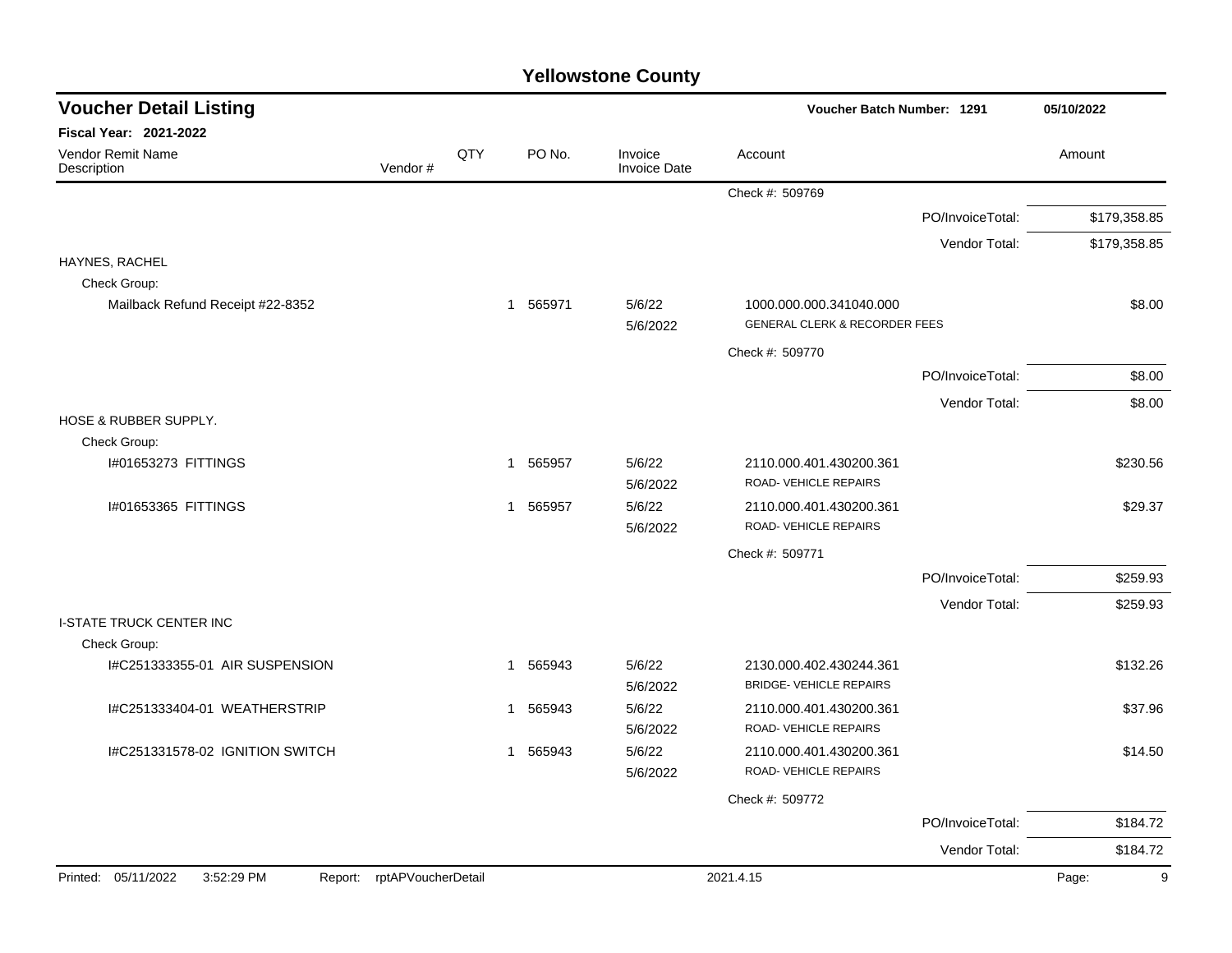| <b>Voucher Detail Listing</b>                |                    |                |          |                                | Voucher Batch Number: 1291                                          |                  | 05/10/2022   |
|----------------------------------------------|--------------------|----------------|----------|--------------------------------|---------------------------------------------------------------------|------------------|--------------|
| <b>Fiscal Year: 2021-2022</b>                |                    |                |          |                                |                                                                     |                  |              |
| Vendor Remit Name<br>Description             | Vendor#            | QTY            | PO No.   | Invoice<br><b>Invoice Date</b> | Account                                                             |                  | Amount       |
|                                              |                    |                |          |                                | Check #: 509769                                                     |                  |              |
|                                              |                    |                |          |                                |                                                                     | PO/InvoiceTotal: | \$179,358.85 |
|                                              |                    |                |          |                                |                                                                     | Vendor Total:    | \$179,358.85 |
| HAYNES, RACHEL                               |                    |                |          |                                |                                                                     |                  |              |
| Check Group:                                 |                    |                |          |                                |                                                                     |                  |              |
| Mailback Refund Receipt #22-8352             |                    |                | 1 565971 | 5/6/22<br>5/6/2022             | 1000.000.000.341040.000<br><b>GENERAL CLERK &amp; RECORDER FEES</b> |                  | \$8.00       |
|                                              |                    |                |          |                                | Check #: 509770                                                     |                  |              |
|                                              |                    |                |          |                                |                                                                     | PO/InvoiceTotal: | \$8.00       |
|                                              |                    |                |          |                                |                                                                     | Vendor Total:    | \$8.00       |
| HOSE & RUBBER SUPPLY.                        |                    |                |          |                                |                                                                     |                  |              |
| Check Group:                                 |                    |                |          |                                |                                                                     |                  |              |
| I#01653273 FITTINGS                          |                    | $\mathbf 1$    | 565957   | 5/6/22<br>5/6/2022             | 2110.000.401.430200.361<br>ROAD-VEHICLE REPAIRS                     |                  | \$230.56     |
| 1#01653365 FITTINGS                          |                    | $\overline{1}$ | 565957   | 5/6/22<br>5/6/2022             | 2110.000.401.430200.361<br>ROAD-VEHICLE REPAIRS                     |                  | \$29.37      |
|                                              |                    |                |          |                                | Check #: 509771                                                     |                  |              |
|                                              |                    |                |          |                                |                                                                     | PO/InvoiceTotal: | \$259.93     |
|                                              |                    |                |          |                                |                                                                     | Vendor Total:    | \$259.93     |
| <b>I-STATE TRUCK CENTER INC</b>              |                    |                |          |                                |                                                                     |                  |              |
| Check Group:                                 |                    |                |          |                                |                                                                     |                  |              |
| I#C251333355-01 AIR SUSPENSION               |                    | -1             | 565943   | 5/6/22<br>5/6/2022             | 2130.000.402.430244.361<br><b>BRIDGE- VEHICLE REPAIRS</b>           |                  | \$132.26     |
| I#C251333404-01 WEATHERSTRIP                 |                    | $\mathbf{1}$   | 565943   | 5/6/22<br>5/6/2022             | 2110.000.401.430200.361<br>ROAD-VEHICLE REPAIRS                     |                  | \$37.96      |
| I#C251331578-02 IGNITION SWITCH              |                    |                | 1 565943 | 5/6/22<br>5/6/2022             | 2110.000.401.430200.361<br>ROAD-VEHICLE REPAIRS                     |                  | \$14.50      |
|                                              |                    |                |          |                                | Check #: 509772                                                     |                  |              |
|                                              |                    |                |          |                                |                                                                     | PO/InvoiceTotal: | \$184.72     |
|                                              |                    |                |          |                                |                                                                     | Vendor Total:    | \$184.72     |
| Printed: 05/11/2022<br>3:52:29 PM<br>Report: | rptAPVoucherDetail |                |          |                                | 2021.4.15                                                           |                  | Page:<br>9   |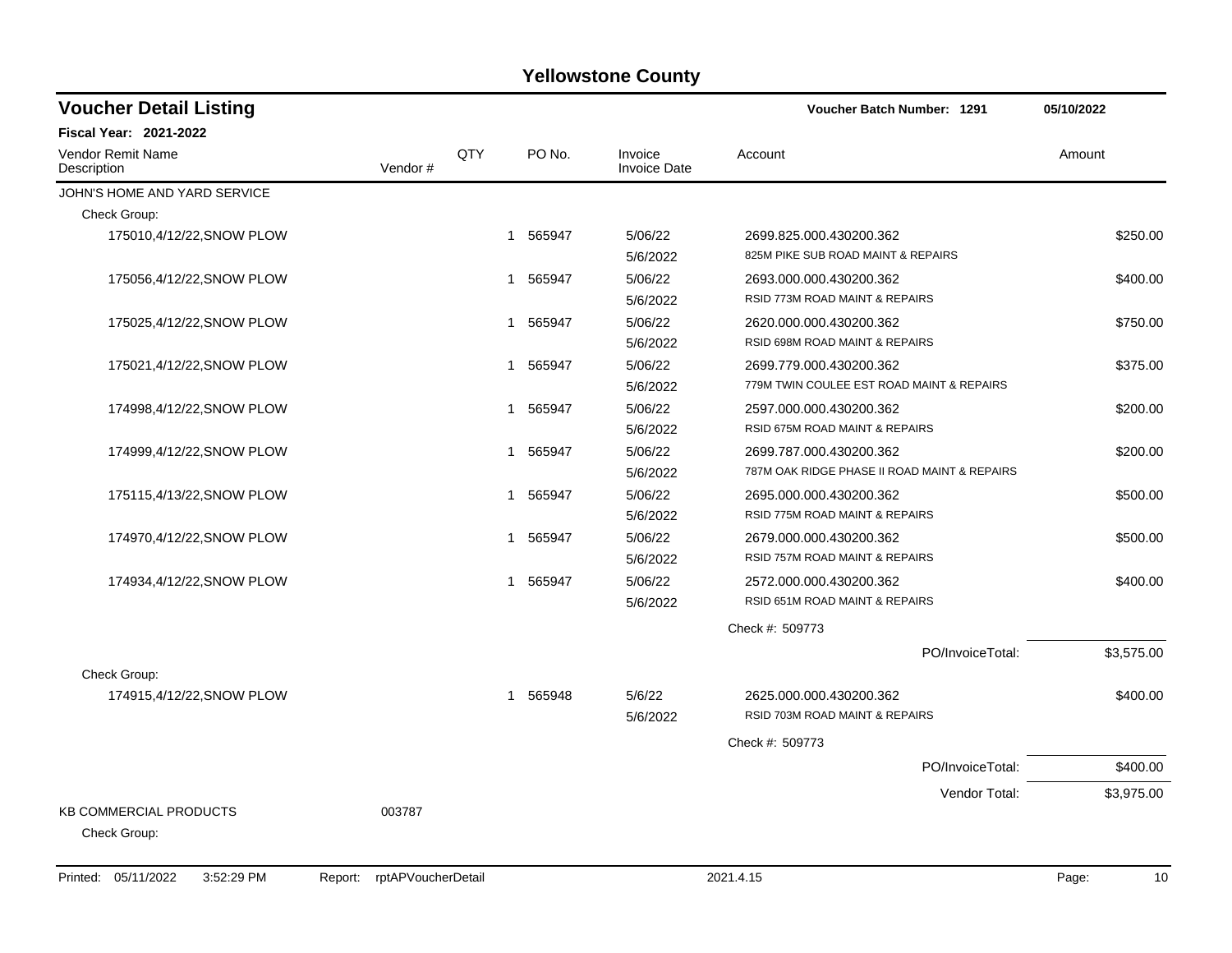| <b>Voucher Detail Listing</b>                 |         |     |             |                                | Voucher Batch Number: 1291                                              | 05/10/2022 |
|-----------------------------------------------|---------|-----|-------------|--------------------------------|-------------------------------------------------------------------------|------------|
| <b>Fiscal Year: 2021-2022</b>                 |         |     |             |                                |                                                                         |            |
| Vendor Remit Name<br>Description              | Vendor# | QTY | PO No.      | Invoice<br><b>Invoice Date</b> | Account                                                                 | Amount     |
| JOHN'S HOME AND YARD SERVICE                  |         |     |             |                                |                                                                         |            |
| Check Group:                                  |         |     |             |                                |                                                                         |            |
| 175010,4/12/22, SNOW PLOW                     |         |     | 565947<br>1 | 5/06/22<br>5/6/2022            | 2699.825.000.430200.362<br>825M PIKE SUB ROAD MAINT & REPAIRS           | \$250.00   |
| 175056,4/12/22,SNOW PLOW                      |         |     | 565947      | 5/06/22<br>5/6/2022            | 2693.000.000.430200.362<br>RSID 773M ROAD MAINT & REPAIRS               | \$400.00   |
| 175025,4/12/22, SNOW PLOW                     |         |     | 565947<br>1 | 5/06/22<br>5/6/2022            | 2620.000.000.430200.362<br>RSID 698M ROAD MAINT & REPAIRS               | \$750.00   |
| 175021,4/12/22, SNOW PLOW                     |         |     | 1 565947    | 5/06/22<br>5/6/2022            | 2699.779.000.430200.362<br>779M TWIN COULEE EST ROAD MAINT & REPAIRS    | \$375.00   |
| 174998,4/12/22, SNOW PLOW                     |         |     | 565947<br>1 | 5/06/22<br>5/6/2022            | 2597.000.000.430200.362<br>RSID 675M ROAD MAINT & REPAIRS               | \$200.00   |
| 174999,4/12/22,SNOW PLOW                      |         |     | 565947<br>1 | 5/06/22<br>5/6/2022            | 2699.787.000.430200.362<br>787M OAK RIDGE PHASE II ROAD MAINT & REPAIRS | \$200.00   |
| 175115,4/13/22, SNOW PLOW                     |         |     | 565947<br>1 | 5/06/22<br>5/6/2022            | 2695.000.000.430200.362<br>RSID 775M ROAD MAINT & REPAIRS               | \$500.00   |
| 174970,4/12/22,SNOW PLOW                      |         |     | 565947<br>1 | 5/06/22<br>5/6/2022            | 2679.000.000.430200.362<br>RSID 757M ROAD MAINT & REPAIRS               | \$500.00   |
| 174934,4/12/22,SNOW PLOW                      |         |     | 565947<br>1 | 5/06/22<br>5/6/2022            | 2572.000.000.430200.362<br>RSID 651M ROAD MAINT & REPAIRS               | \$400.00   |
|                                               |         |     |             |                                | Check #: 509773                                                         |            |
| Check Group:                                  |         |     |             |                                | PO/InvoiceTotal:                                                        | \$3,575.00 |
| 174915,4/12/22, SNOW PLOW                     |         |     | 565948<br>1 | 5/6/22<br>5/6/2022             | 2625.000.000.430200.362<br>RSID 703M ROAD MAINT & REPAIRS               | \$400.00   |
|                                               |         |     |             |                                | Check #: 509773                                                         |            |
|                                               |         |     |             |                                | PO/InvoiceTotal:                                                        | \$400.00   |
|                                               |         |     |             |                                | Vendor Total:                                                           | \$3,975.00 |
| <b>KB COMMERCIAL PRODUCTS</b><br>Check Group: | 003787  |     |             |                                |                                                                         |            |

Printed: 05/11/2022 3:52:29 PM Report: rptAPVoucherDetail 2021.4.15 2021.4.15 Page: 10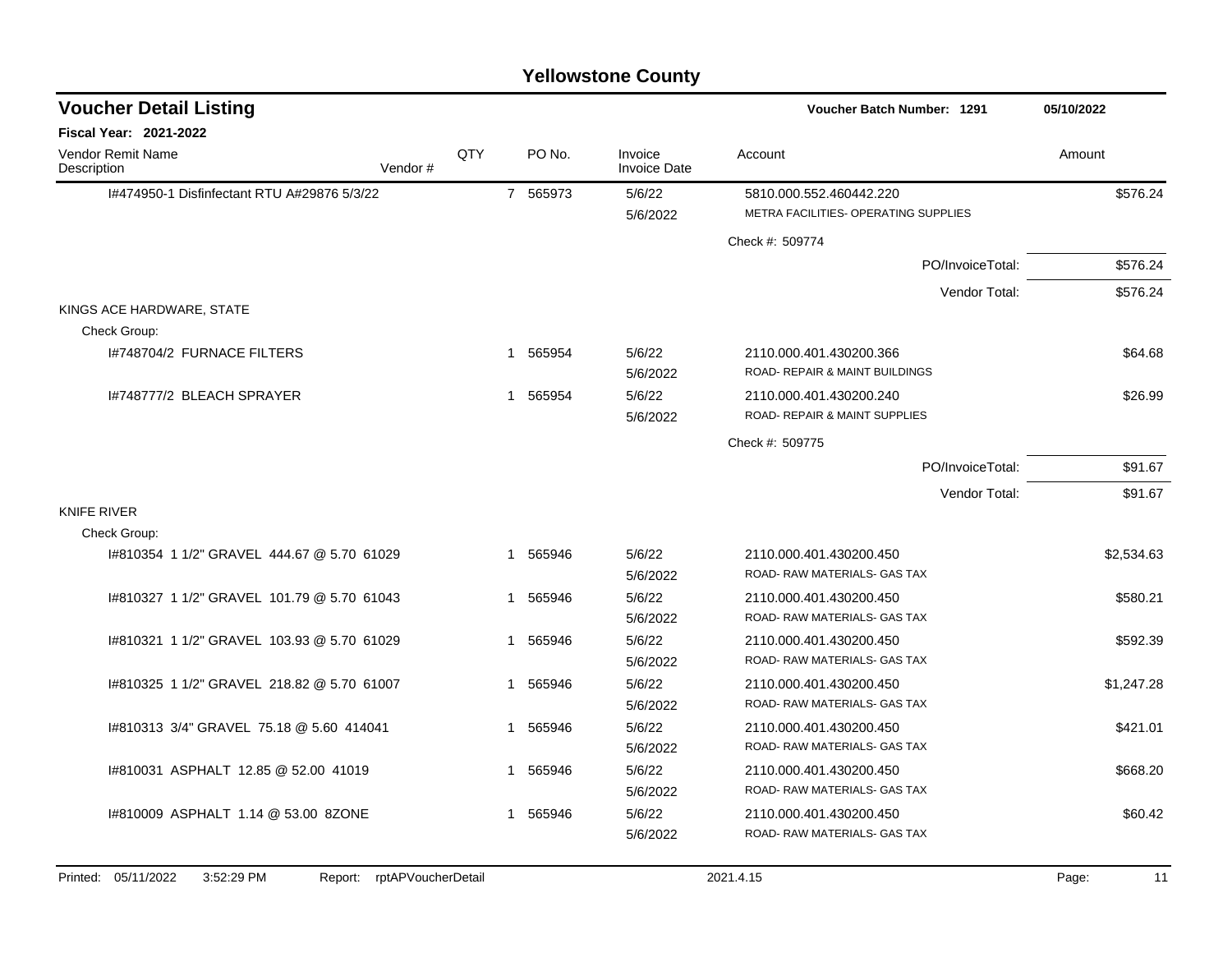| <b>Voucher Detail Listing</b>               |     |                       |                                | <b>Voucher Batch Number: 1291</b>                                    | 05/10/2022 |
|---------------------------------------------|-----|-----------------------|--------------------------------|----------------------------------------------------------------------|------------|
| <b>Fiscal Year: 2021-2022</b>               |     |                       |                                |                                                                      |            |
| Vendor Remit Name<br>Description<br>Vendor# | QTY | PO No.                | Invoice<br><b>Invoice Date</b> | Account                                                              | Amount     |
| 1#474950-1 Disfinfectant RTU A#29876 5/3/22 |     | 7 565973              | 5/6/22<br>5/6/2022             | 5810.000.552.460442.220<br>METRA FACILITIES- OPERATING SUPPLIES      | \$576.24   |
|                                             |     |                       |                                | Check #: 509774                                                      |            |
|                                             |     |                       |                                | PO/InvoiceTotal:                                                     | \$576.24   |
|                                             |     |                       |                                | Vendor Total:                                                        | \$576.24   |
| KINGS ACE HARDWARE, STATE                   |     |                       |                                |                                                                      |            |
| Check Group:                                |     |                       |                                |                                                                      |            |
| 1#748704/2 FURNACE FILTERS                  |     | 1 565954              | 5/6/22<br>5/6/2022             | 2110.000.401.430200.366<br><b>ROAD- REPAIR &amp; MAINT BUILDINGS</b> | \$64.68    |
| 1#748777/2 BLEACH SPRAYER                   |     | 1 565954              | 5/6/22<br>5/6/2022             | 2110.000.401.430200.240<br>ROAD- REPAIR & MAINT SUPPLIES             | \$26.99    |
|                                             |     |                       |                                | Check #: 509775                                                      |            |
|                                             |     |                       |                                | PO/InvoiceTotal:                                                     | \$91.67    |
|                                             |     |                       |                                | Vendor Total:                                                        | \$91.67    |
| <b>KNIFE RIVER</b>                          |     |                       |                                |                                                                      |            |
| Check Group:                                |     |                       |                                |                                                                      |            |
| 1#810354 1 1/2" GRAVEL 444.67 @ 5.70 61029  |     | 1 565946              | 5/6/22<br>5/6/2022             | 2110.000.401.430200.450<br>ROAD-RAW MATERIALS- GAS TAX               | \$2,534.63 |
| 1#810327 1 1/2" GRAVEL 101.79 @ 5.70 61043  |     | 565946<br>1           | 5/6/22<br>5/6/2022             | 2110.000.401.430200.450<br>ROAD-RAW MATERIALS- GAS TAX               | \$580.21   |
| 1#810321 1 1/2" GRAVEL 103.93 @ 5.70 61029  |     | 565946<br>1           | 5/6/22<br>5/6/2022             | 2110.000.401.430200.450<br>ROAD-RAW MATERIALS-GAS TAX                | \$592.39   |
| I#810325 1 1/2" GRAVEL 218.82 @ 5.70 61007  |     | 565946<br>$\mathbf 1$ | 5/6/22<br>5/6/2022             | 2110.000.401.430200.450<br>ROAD- RAW MATERIALS- GAS TAX              | \$1,247.28 |
| #810313 3/4" GRAVEL 75.18 @ 5.60 414041     |     | 1 565946              | 5/6/22<br>5/6/2022             | 2110.000.401.430200.450<br>ROAD-RAW MATERIALS- GAS TAX               | \$421.01   |
| 1#810031 ASPHALT 12.85 @ 52.00 41019        |     | 565946<br>1           | 5/6/22<br>5/6/2022             | 2110.000.401.430200.450<br>ROAD-RAW MATERIALS- GAS TAX               | \$668.20   |
| 1#810009 ASPHALT 1.14 @ 53.00 8ZONE         |     | 1 565946              | 5/6/22<br>5/6/2022             | 2110.000.401.430200.450<br>ROAD-RAW MATERIALS- GAS TAX               | \$60.42    |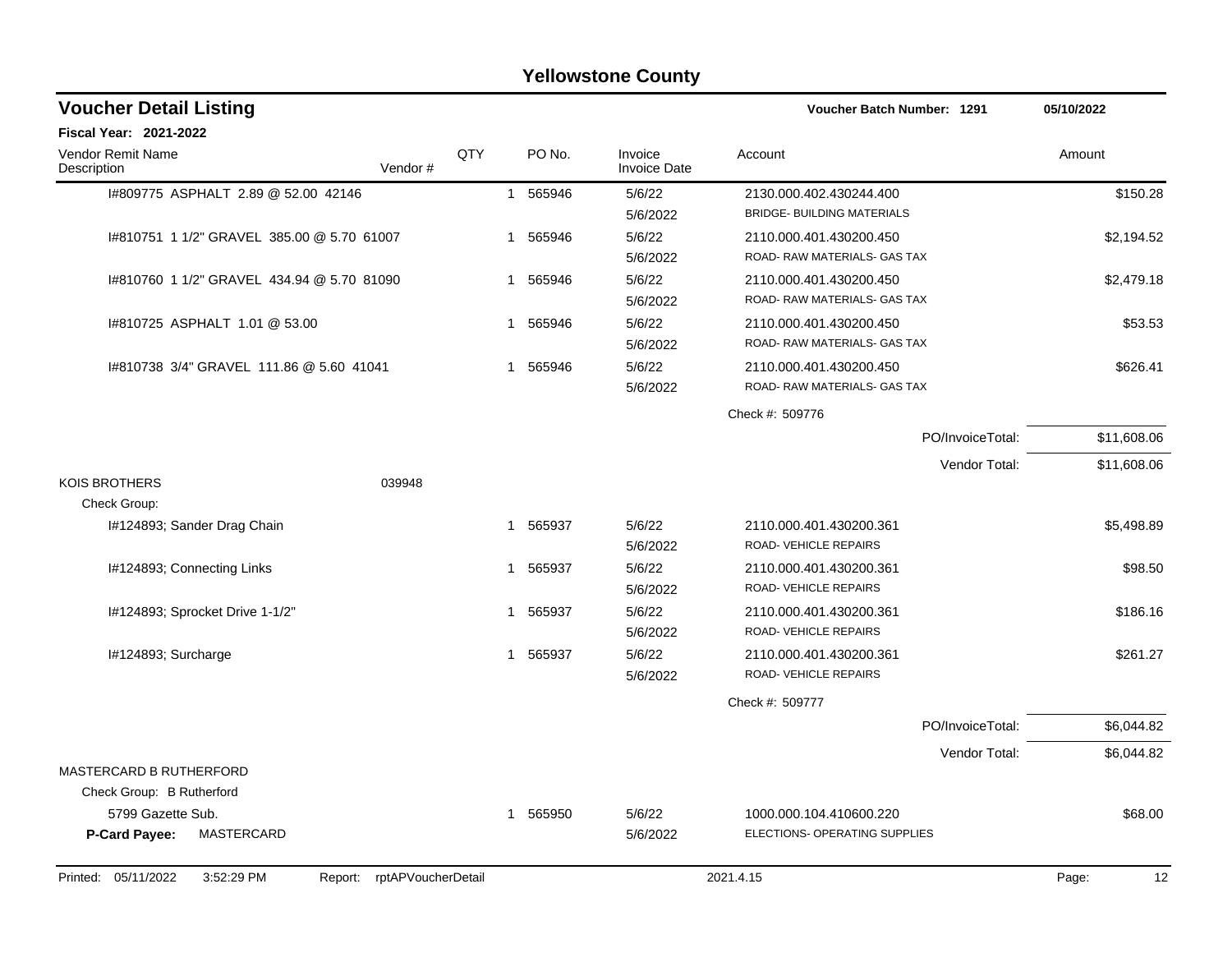| <b>Voucher Detail Listing</b>                           |                            |              |          |                                | <b>Voucher Batch Number: 1291</b>                            | 05/10/2022  |
|---------------------------------------------------------|----------------------------|--------------|----------|--------------------------------|--------------------------------------------------------------|-------------|
| Fiscal Year: 2021-2022                                  |                            |              |          |                                |                                                              |             |
| Vendor Remit Name<br>Description                        | Vendor#                    | QTY          | PO No.   | Invoice<br><b>Invoice Date</b> | Account                                                      | Amount      |
| I#809775 ASPHALT 2.89 @ 52.00 42146                     |                            | $\mathbf{1}$ | 565946   | 5/6/22<br>5/6/2022             | 2130.000.402.430244.400<br><b>BRIDGE- BUILDING MATERIALS</b> | \$150.28    |
| I#810751 1 1/2" GRAVEL 385.00 @ 5.70 61007              |                            |              | 1 565946 | 5/6/22<br>5/6/2022             | 2110.000.401.430200.450<br>ROAD- RAW MATERIALS- GAS TAX      | \$2,194.52  |
| 1#810760 1 1/2" GRAVEL 434.94 @ 5.70 81090              |                            | 1            | 565946   | 5/6/22<br>5/6/2022             | 2110.000.401.430200.450<br>ROAD-RAW MATERIALS- GAS TAX       | \$2,479.18  |
| I#810725 ASPHALT 1.01 @ 53.00                           |                            | -1           | 565946   | 5/6/22<br>5/6/2022             | 2110.000.401.430200.450<br>ROAD-RAW MATERIALS- GAS TAX       | \$53.53     |
| I#810738 3/4" GRAVEL 111.86 @ 5.60 41041                |                            | -1           | 565946   | 5/6/22<br>5/6/2022             | 2110.000.401.430200.450<br>ROAD- RAW MATERIALS- GAS TAX      | \$626.41    |
|                                                         |                            |              |          |                                | Check #: 509776                                              |             |
|                                                         |                            |              |          |                                | PO/InvoiceTotal:                                             | \$11,608.06 |
|                                                         |                            |              |          |                                | Vendor Total:                                                | \$11,608.06 |
| <b>KOIS BROTHERS</b>                                    | 039948                     |              |          |                                |                                                              |             |
| Check Group:                                            |                            |              |          |                                |                                                              |             |
| I#124893; Sander Drag Chain                             |                            |              | 1 565937 | 5/6/22<br>5/6/2022             | 2110.000.401.430200.361<br>ROAD- VEHICLE REPAIRS             | \$5,498.89  |
| I#124893; Connecting Links                              |                            | -1           | 565937   | 5/6/22<br>5/6/2022             | 2110.000.401.430200.361<br>ROAD-VEHICLE REPAIRS              | \$98.50     |
| I#124893; Sprocket Drive 1-1/2"                         |                            | 1            | 565937   | 5/6/22<br>5/6/2022             | 2110.000.401.430200.361<br>ROAD- VEHICLE REPAIRS             | \$186.16    |
| I#124893; Surcharge                                     |                            |              | 1 565937 | 5/6/22<br>5/6/2022             | 2110.000.401.430200.361<br>ROAD-VEHICLE REPAIRS              | \$261.27    |
|                                                         |                            |              |          |                                | Check #: 509777                                              |             |
|                                                         |                            |              |          |                                | PO/InvoiceTotal:                                             | \$6,044.82  |
|                                                         |                            |              |          |                                | Vendor Total:                                                | \$6,044.82  |
| MASTERCARD B RUTHERFORD                                 |                            |              |          |                                |                                                              |             |
| Check Group: B Rutherford                               |                            |              |          |                                |                                                              |             |
| 5799 Gazette Sub.<br><b>MASTERCARD</b><br>P-Card Payee: |                            |              | 1 565950 | 5/6/22<br>5/6/2022             | 1000.000.104.410600.220<br>ELECTIONS- OPERATING SUPPLIES     | \$68.00     |
| Printed: 05/11/2022<br>3:52:29 PM                       | Report: rptAPVoucherDetail |              |          |                                | 2021.4.15                                                    | Page:<br>12 |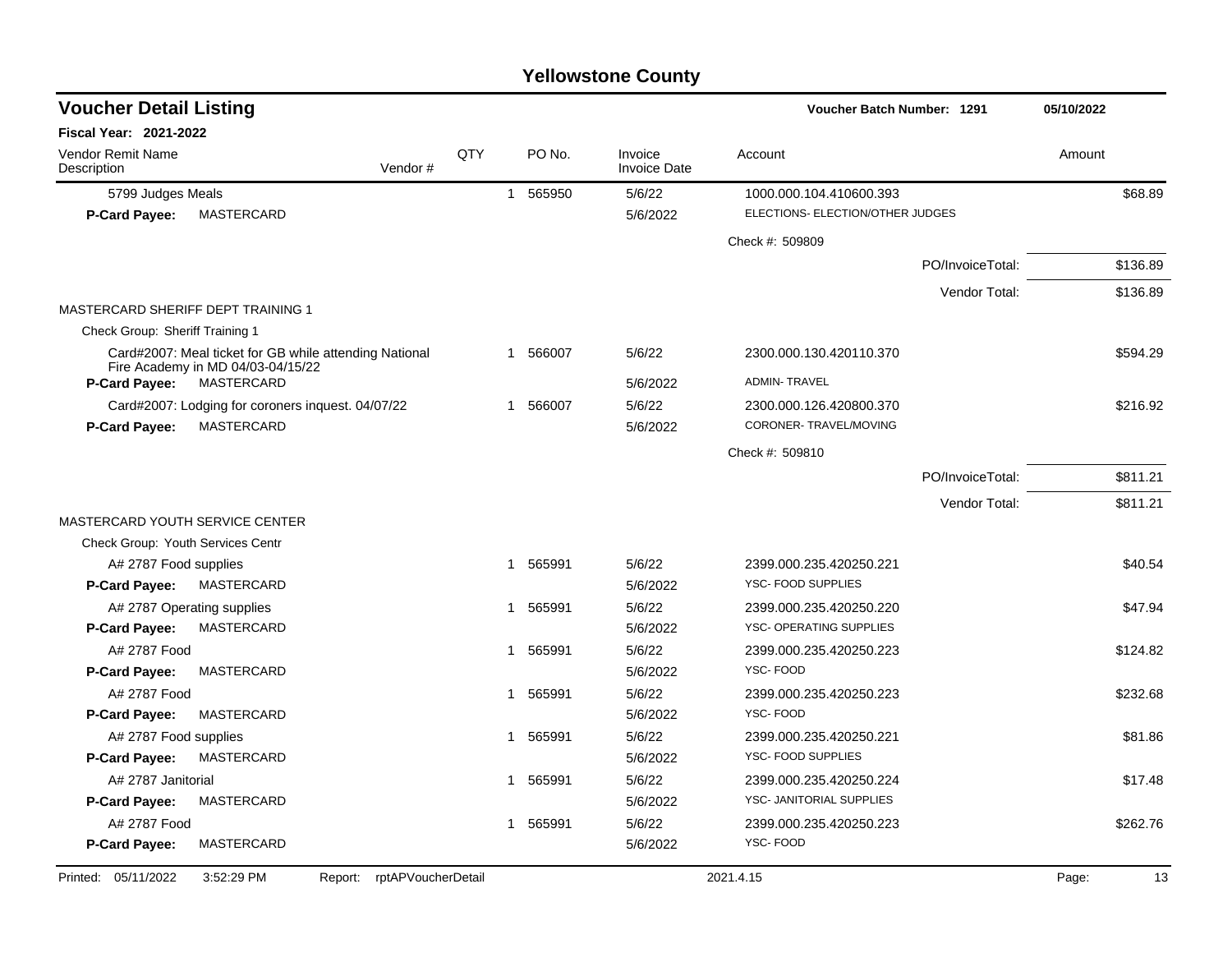| <b>Voucher Detail Listing</b>           |                                                        |     |   |          |                                | Voucher Batch Number: 1291       |                  | 05/10/2022  |
|-----------------------------------------|--------------------------------------------------------|-----|---|----------|--------------------------------|----------------------------------|------------------|-------------|
| <b>Fiscal Year: 2021-2022</b>           |                                                        |     |   |          |                                |                                  |                  |             |
| <b>Vendor Remit Name</b><br>Description | Vendor#                                                | QTY |   | PO No.   | Invoice<br><b>Invoice Date</b> | Account                          |                  | Amount      |
| 5799 Judges Meals                       |                                                        |     |   | 1 565950 | 5/6/22                         | 1000.000.104.410600.393          |                  | \$68.89     |
| <b>P-Card Payee:</b>                    | MASTERCARD                                             |     |   |          | 5/6/2022                       | ELECTIONS- ELECTION/OTHER JUDGES |                  |             |
|                                         |                                                        |     |   |          |                                | Check #: 509809                  |                  |             |
|                                         |                                                        |     |   |          |                                |                                  | PO/InvoiceTotal: | \$136.89    |
|                                         |                                                        |     |   |          |                                |                                  | Vendor Total:    | \$136.89    |
| MASTERCARD SHERIFF DEPT TRAINING 1      |                                                        |     |   |          |                                |                                  |                  |             |
| Check Group: Sheriff Training 1         |                                                        |     |   |          |                                |                                  |                  |             |
|                                         | Card#2007: Meal ticket for GB while attending National |     |   | 1 566007 | 5/6/22                         | 2300.000.130.420110.370          |                  | \$594.29    |
| P-Card Payee:                           | Fire Academy in MD 04/03-04/15/22<br>MASTERCARD        |     |   |          | 5/6/2022                       | <b>ADMIN-TRAVEL</b>              |                  |             |
|                                         | Card#2007: Lodging for coroners inquest. 04/07/22      |     |   | 1 566007 | 5/6/22                         | 2300.000.126.420800.370          |                  | \$216.92    |
| <b>P-Card Payee:</b>                    | MASTERCARD                                             |     |   |          | 5/6/2022                       | CORONER-TRAVEL/MOVING            |                  |             |
|                                         |                                                        |     |   |          |                                | Check #: 509810                  |                  |             |
|                                         |                                                        |     |   |          |                                |                                  | PO/InvoiceTotal: | \$811.21    |
|                                         |                                                        |     |   |          |                                |                                  | Vendor Total:    | \$811.21    |
| MASTERCARD YOUTH SERVICE CENTER         |                                                        |     |   |          |                                |                                  |                  |             |
| Check Group: Youth Services Centr       |                                                        |     |   |          |                                |                                  |                  |             |
| A# 2787 Food supplies                   |                                                        |     | 1 | 565991   | 5/6/22                         | 2399.000.235.420250.221          |                  | \$40.54     |
| <b>P-Card Payee:</b>                    | MASTERCARD                                             |     |   |          | 5/6/2022                       | YSC- FOOD SUPPLIES               |                  |             |
|                                         | A# 2787 Operating supplies                             |     | 1 | 565991   | 5/6/22                         | 2399.000.235.420250.220          |                  | \$47.94     |
| <b>P-Card Payee:</b>                    | MASTERCARD                                             |     |   |          | 5/6/2022                       | YSC- OPERATING SUPPLIES          |                  |             |
| A# 2787 Food                            |                                                        |     | 1 | 565991   | 5/6/22                         | 2399.000.235.420250.223          |                  | \$124.82    |
| <b>P-Card Payee:</b>                    | MASTERCARD                                             |     |   |          | 5/6/2022                       | YSC-FOOD                         |                  |             |
| A# 2787 Food                            |                                                        |     | 1 | 565991   | 5/6/22                         | 2399.000.235.420250.223          |                  | \$232.68    |
| <b>P-Card Payee:</b>                    | MASTERCARD                                             |     |   |          | 5/6/2022                       | YSC-FOOD                         |                  |             |
| A# 2787 Food supplies                   |                                                        |     | 1 | 565991   | 5/6/22                         | 2399.000.235.420250.221          |                  | \$81.86     |
| <b>P-Card Payee:</b>                    | MASTERCARD                                             |     |   |          | 5/6/2022                       | YSC- FOOD SUPPLIES               |                  |             |
| A# 2787 Janitorial                      |                                                        |     | 1 | 565991   | 5/6/22                         | 2399.000.235.420250.224          |                  | \$17.48     |
| <b>P-Card Payee:</b>                    | MASTERCARD                                             |     |   |          | 5/6/2022                       | YSC- JANITORIAL SUPPLIES         |                  |             |
| A# 2787 Food                            |                                                        |     | 1 | 565991   | 5/6/22                         | 2399.000.235.420250.223          |                  | \$262.76    |
| P-Card Payee:                           | MASTERCARD                                             |     |   |          | 5/6/2022                       | YSC-FOOD                         |                  |             |
| Printed: 05/11/2022                     | rptAPVoucherDetail<br>3:52:29 PM<br>Report:            |     |   |          |                                | 2021.4.15                        |                  | Page:<br>13 |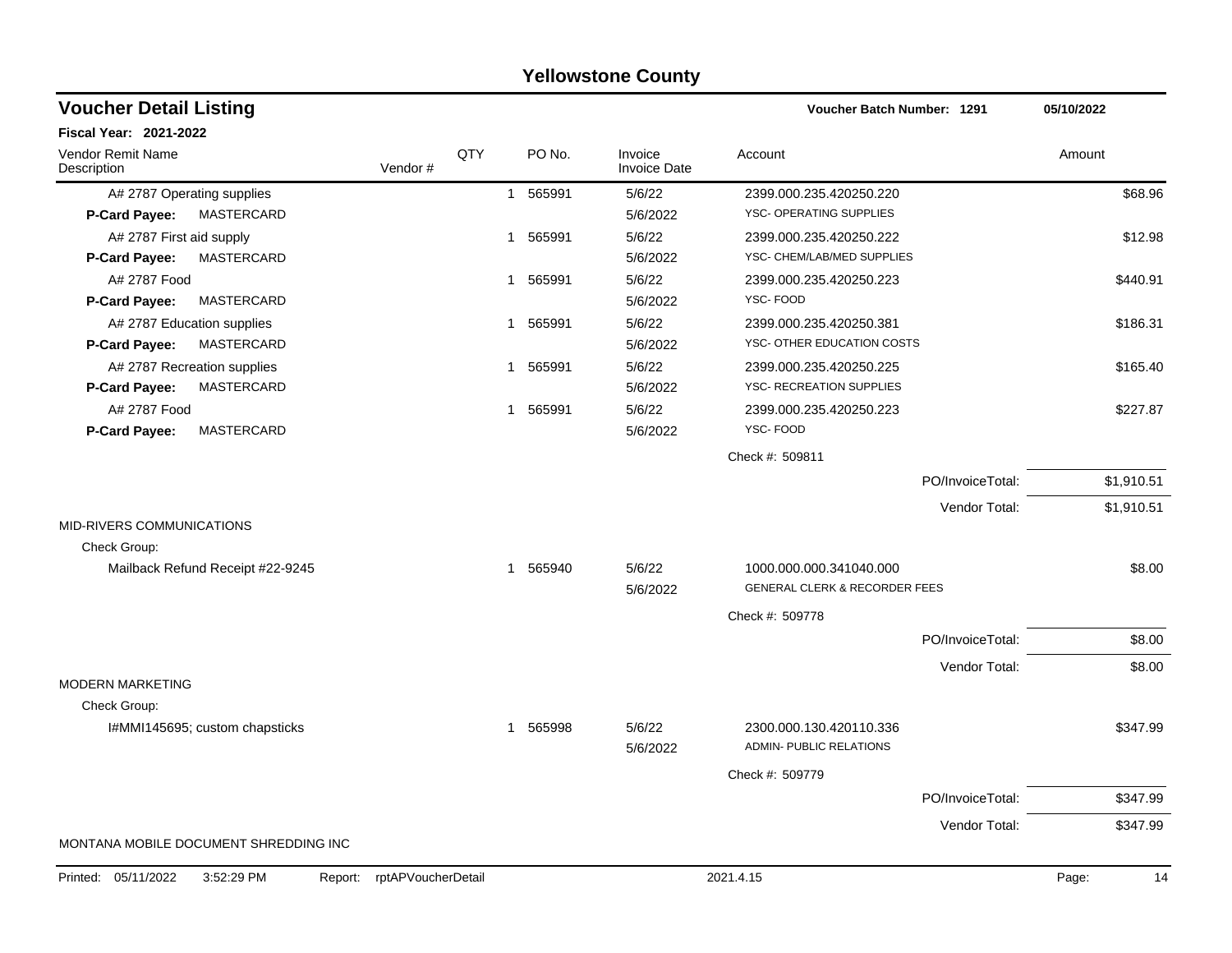|                                              |                    |              |          | ו סווטאסנטווס טטעוונץ          |                                                           |                  |             |
|----------------------------------------------|--------------------|--------------|----------|--------------------------------|-----------------------------------------------------------|------------------|-------------|
| <b>Voucher Detail Listing</b>                |                    |              |          |                                | <b>Voucher Batch Number: 1291</b>                         |                  | 05/10/2022  |
| Fiscal Year: 2021-2022                       |                    |              |          |                                |                                                           |                  |             |
| Vendor Remit Name<br>Description             | Vendor#            | QTY          | PO No.   | Invoice<br><b>Invoice Date</b> | Account                                                   |                  | Amount      |
| A# 2787 Operating supplies                   |                    | $\mathbf{1}$ | 565991   | 5/6/22                         | 2399.000.235.420250.220                                   |                  | \$68.96     |
| <b>MASTERCARD</b><br>P-Card Payee:           |                    |              |          | 5/6/2022                       | YSC- OPERATING SUPPLIES                                   |                  |             |
| A# 2787 First aid supply                     |                    | $\mathbf{1}$ | 565991   | 5/6/22                         | 2399.000.235.420250.222                                   |                  | \$12.98     |
| <b>MASTERCARD</b><br>P-Card Payee:           |                    |              |          | 5/6/2022                       | YSC- CHEM/LAB/MED SUPPLIES                                |                  |             |
| A# 2787 Food                                 |                    | $\mathbf{1}$ | 565991   | 5/6/22                         | 2399.000.235.420250.223                                   |                  | \$440.91    |
| P-Card Payee:<br><b>MASTERCARD</b>           |                    |              |          | 5/6/2022                       | YSC-FOOD                                                  |                  |             |
| A# 2787 Education supplies                   |                    | $\mathbf{1}$ | 565991   | 5/6/22                         | 2399.000.235.420250.381                                   |                  | \$186.31    |
| P-Card Payee:<br><b>MASTERCARD</b>           |                    |              |          | 5/6/2022                       | YSC- OTHER EDUCATION COSTS                                |                  |             |
| A# 2787 Recreation supplies                  |                    | $\mathbf{1}$ | 565991   | 5/6/22                         | 2399.000.235.420250.225                                   |                  | \$165.40    |
| <b>MASTERCARD</b><br>P-Card Payee:           |                    |              |          | 5/6/2022                       | YSC- RECREATION SUPPLIES                                  |                  |             |
| A# 2787 Food                                 |                    | $\mathbf{1}$ | 565991   | 5/6/22                         | 2399.000.235.420250.223                                   |                  | \$227.87    |
| <b>MASTERCARD</b><br>P-Card Payee:           |                    |              |          | 5/6/2022                       | YSC-FOOD                                                  |                  |             |
|                                              |                    |              |          |                                | Check #: 509811                                           |                  |             |
|                                              |                    |              |          |                                |                                                           | PO/InvoiceTotal: | \$1,910.51  |
|                                              |                    |              |          |                                |                                                           | Vendor Total:    | \$1,910.51  |
| MID-RIVERS COMMUNICATIONS                    |                    |              |          |                                |                                                           |                  |             |
| Check Group:                                 |                    |              |          |                                |                                                           |                  |             |
| Mailback Refund Receipt #22-9245             |                    |              | 1 565940 | 5/6/22                         | 1000.000.000.341040.000                                   |                  | \$8.00      |
|                                              |                    |              |          | 5/6/2022                       | <b>GENERAL CLERK &amp; RECORDER FEES</b>                  |                  |             |
|                                              |                    |              |          |                                | Check #: 509778                                           |                  |             |
|                                              |                    |              |          |                                |                                                           | PO/InvoiceTotal: | \$8.00      |
|                                              |                    |              |          |                                |                                                           | Vendor Total:    | \$8.00      |
| <b>MODERN MARKETING</b>                      |                    |              |          |                                |                                                           |                  |             |
| Check Group:                                 |                    |              |          |                                |                                                           |                  |             |
| I#MMI145695; custom chapsticks               |                    | -1           | 565998   | 5/6/22<br>5/6/2022             | 2300.000.130.420110.336<br><b>ADMIN- PUBLIC RELATIONS</b> |                  | \$347.99    |
|                                              |                    |              |          |                                | Check #: 509779                                           |                  |             |
|                                              |                    |              |          |                                |                                                           | PO/InvoiceTotal: | \$347.99    |
|                                              |                    |              |          |                                |                                                           | Vendor Total:    | \$347.99    |
| MONTANA MOBILE DOCUMENT SHREDDING INC        |                    |              |          |                                |                                                           |                  |             |
| Printed: 05/11/2022<br>3:52:29 PM<br>Report: | rptAPVoucherDetail |              |          |                                | 2021.4.15                                                 |                  | Page:<br>14 |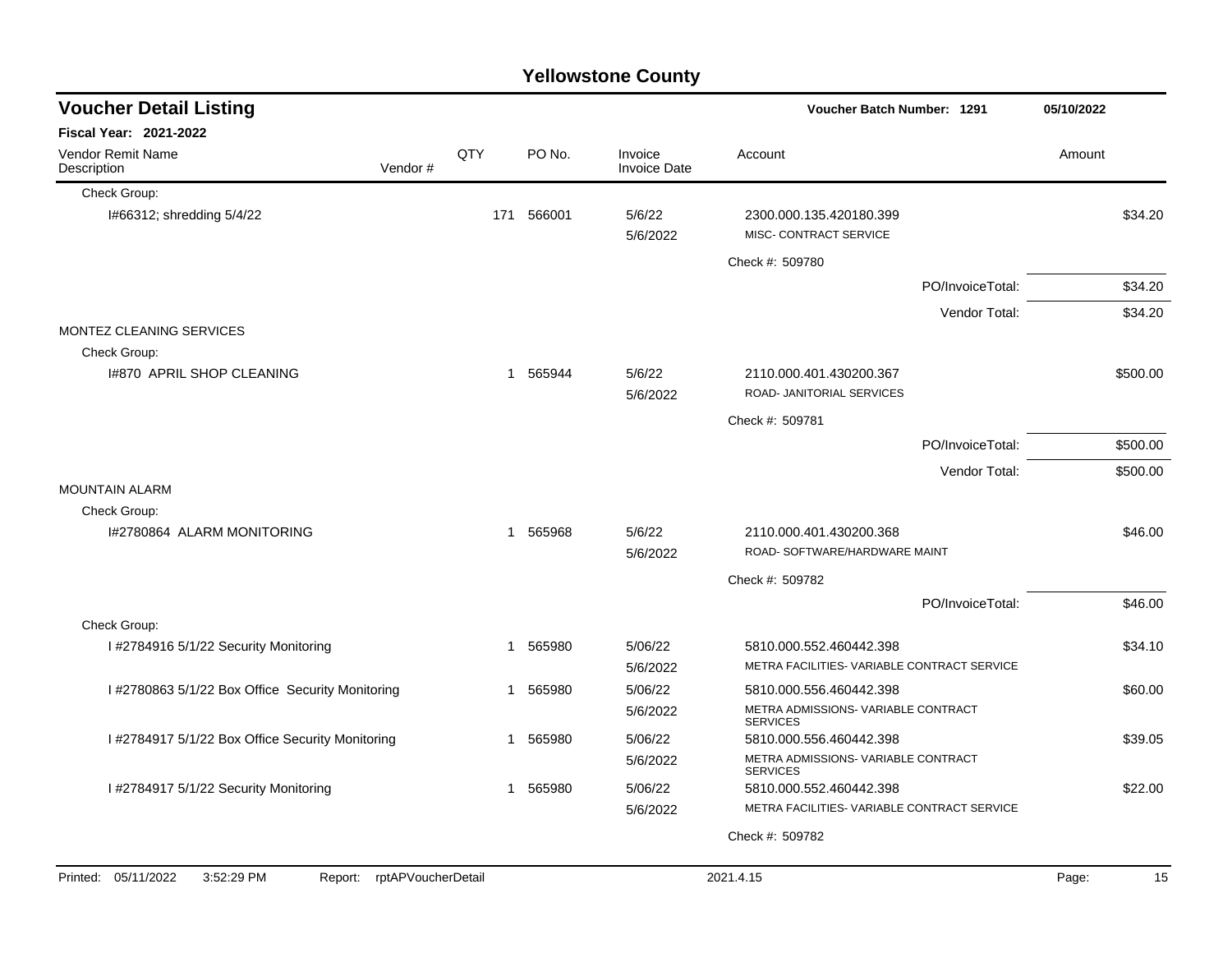|                                                                 |              |          | ו סווטאסנטווס טטעוונץ          |                                                                        |                  |            |          |
|-----------------------------------------------------------------|--------------|----------|--------------------------------|------------------------------------------------------------------------|------------------|------------|----------|
| <b>Voucher Detail Listing</b>                                   |              |          |                                | Voucher Batch Number: 1291                                             |                  | 05/10/2022 |          |
| <b>Fiscal Year: 2021-2022</b>                                   |              |          |                                |                                                                        |                  |            |          |
| Vendor Remit Name<br>Description<br>Vendor#                     | QTY          | PO No.   | Invoice<br><b>Invoice Date</b> | Account                                                                |                  | Amount     |          |
| Check Group:                                                    |              |          |                                |                                                                        |                  |            |          |
| I#66312; shredding 5/4/22                                       | 171          | 566001   | 5/6/22<br>5/6/2022             | 2300.000.135.420180.399<br>MISC- CONTRACT SERVICE                      |                  |            | \$34.20  |
|                                                                 |              |          |                                | Check #: 509780                                                        |                  |            |          |
|                                                                 |              |          |                                |                                                                        | PO/InvoiceTotal: |            | \$34.20  |
|                                                                 |              |          |                                |                                                                        | Vendor Total:    |            | \$34.20  |
| MONTEZ CLEANING SERVICES<br>Check Group:                        |              |          |                                |                                                                        |                  |            |          |
| 1#870 APRIL SHOP CLEANING                                       |              | 1 565944 | 5/6/22<br>5/6/2022             | 2110.000.401.430200.367<br><b>ROAD- JANITORIAL SERVICES</b>            |                  |            | \$500.00 |
|                                                                 |              |          |                                | Check #: 509781                                                        |                  |            |          |
|                                                                 |              |          |                                |                                                                        | PO/InvoiceTotal: |            | \$500.00 |
|                                                                 |              |          |                                |                                                                        | Vendor Total:    |            | \$500.00 |
| <b>MOUNTAIN ALARM</b>                                           |              |          |                                |                                                                        |                  |            |          |
| Check Group:                                                    |              |          |                                |                                                                        |                  |            |          |
| I#2780864 ALARM MONITORING                                      | -1           | 565968   | 5/6/22<br>5/6/2022             | 2110.000.401.430200.368<br>ROAD- SOFTWARE/HARDWARE MAINT               |                  |            | \$46.00  |
|                                                                 |              |          |                                | Check #: 509782                                                        |                  |            |          |
|                                                                 |              |          |                                |                                                                        | PO/InvoiceTotal: |            | \$46.00  |
| Check Group:                                                    |              |          |                                |                                                                        |                  |            |          |
| I #2784916 5/1/22 Security Monitoring                           | $\mathbf 1$  | 565980   | 5/06/22<br>5/6/2022            | 5810.000.552.460442.398<br>METRA FACILITIES- VARIABLE CONTRACT SERVICE |                  |            | \$34.10  |
| I #2780863 5/1/22 Box Office Security Monitoring                | 1            | 565980   | 5/06/22                        | 5810.000.556.460442.398                                                |                  |            | \$60.00  |
|                                                                 |              |          | 5/6/2022                       | METRA ADMISSIONS- VARIABLE CONTRACT<br><b>SERVICES</b>                 |                  |            |          |
| I #2784917 5/1/22 Box Office Security Monitoring                | 1            | 565980   | 5/06/22                        | 5810.000.556.460442.398                                                |                  |            | \$39.05  |
|                                                                 |              |          | 5/6/2022                       | METRA ADMISSIONS- VARIABLE CONTRACT<br><b>SERVICES</b>                 |                  |            |          |
| I #2784917 5/1/22 Security Monitoring                           | $\mathbf{1}$ | 565980   | 5/06/22                        | 5810.000.552.460442.398                                                |                  |            | \$22.00  |
|                                                                 |              |          | 5/6/2022                       | METRA FACILITIES- VARIABLE CONTRACT SERVICE                            |                  |            |          |
|                                                                 |              |          |                                | Check #: 509782                                                        |                  |            |          |
| Report: rptAPVoucherDetail<br>Printed: 05/11/2022<br>3:52:29 PM |              |          |                                | 2021.4.15                                                              |                  | Page:      | 15       |
|                                                                 |              |          |                                |                                                                        |                  |            |          |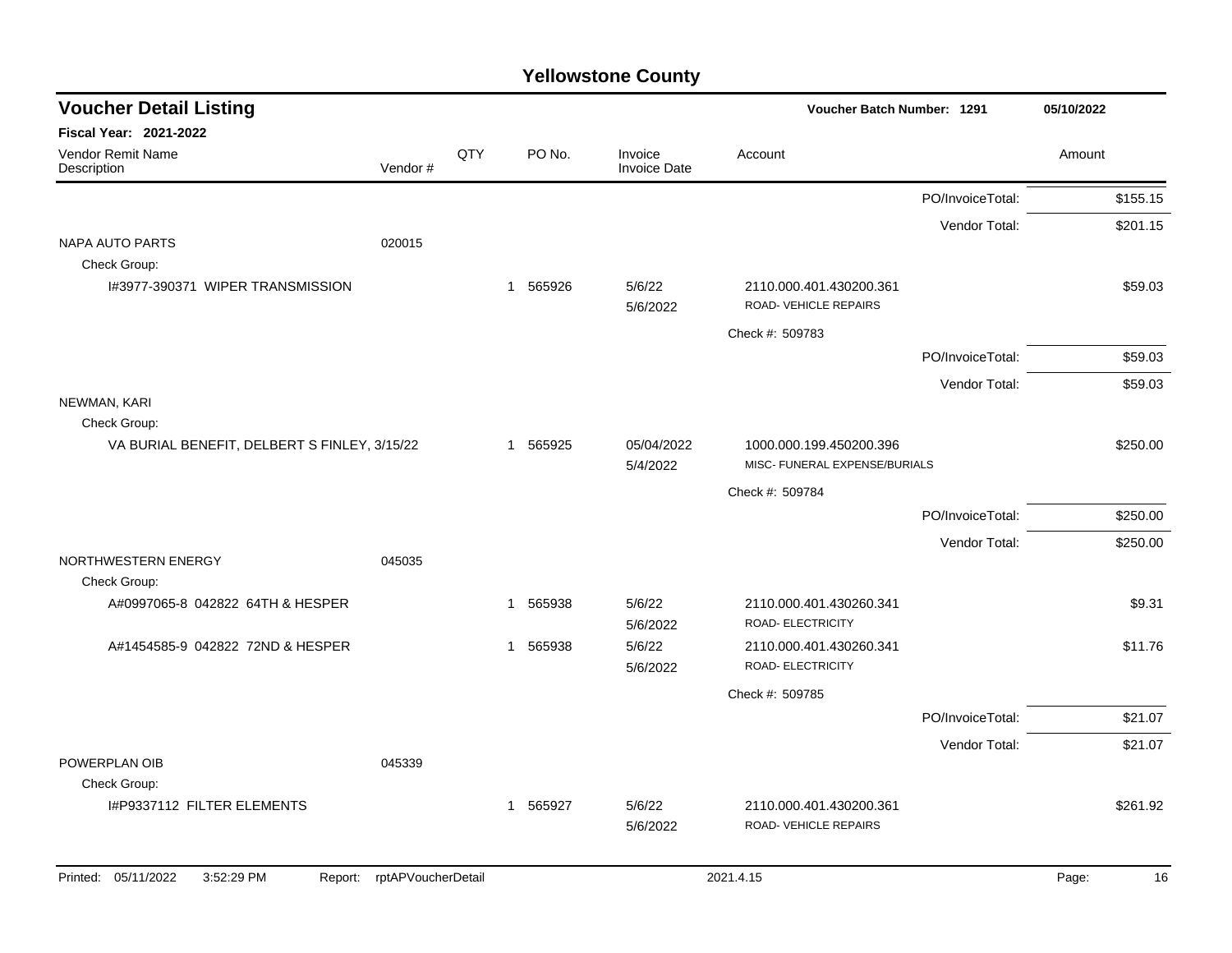| <b>Voucher Detail Listing</b>                |                    |          |                        |                                                          | Voucher Batch Number: 1291                      |                  | 05/10/2022  |
|----------------------------------------------|--------------------|----------|------------------------|----------------------------------------------------------|-------------------------------------------------|------------------|-------------|
| Fiscal Year: 2021-2022                       |                    |          |                        |                                                          |                                                 |                  |             |
| Vendor Remit Name<br>Description             | Vendor#            | QTY      | PO No.                 | Invoice<br><b>Invoice Date</b>                           | Account                                         |                  | Amount      |
|                                              |                    |          |                        |                                                          |                                                 | PO/InvoiceTotal: | \$155.15    |
| <b>NAPA AUTO PARTS</b>                       | 020015             |          |                        |                                                          |                                                 | Vendor Total:    | \$201.15    |
| Check Group:                                 |                    |          |                        |                                                          |                                                 |                  |             |
| I#3977-390371 WIPER TRANSMISSION             |                    |          | 1 565926               | 5/6/22<br>5/6/2022                                       | 2110.000.401.430200.361<br>ROAD-VEHICLE REPAIRS |                  | \$59.03     |
|                                              |                    |          |                        |                                                          | Check #: 509783                                 |                  |             |
|                                              |                    |          |                        |                                                          |                                                 | PO/InvoiceTotal: | \$59.03     |
| NEWMAN, KARI                                 |                    |          |                        |                                                          |                                                 | Vendor Total:    | \$59.03     |
| Check Group:                                 |                    |          |                        |                                                          |                                                 |                  |             |
| VA BURIAL BENEFIT, DELBERT S FINLEY, 3/15/22 |                    | 1 565925 | 05/04/2022<br>5/4/2022 | 1000.000.199.450200.396<br>MISC- FUNERAL EXPENSE/BURIALS |                                                 | \$250.00         |             |
|                                              |                    |          |                        |                                                          | Check #: 509784                                 |                  |             |
|                                              |                    |          |                        |                                                          |                                                 | PO/InvoiceTotal: | \$250.00    |
|                                              |                    |          |                        |                                                          |                                                 | Vendor Total:    | \$250.00    |
| NORTHWESTERN ENERGY<br>Check Group:          | 045035             |          |                        |                                                          |                                                 |                  |             |
| A#0997065-8 042822 64TH & HESPER             |                    |          | 565938<br>1            | 5/6/22<br>5/6/2022                                       | 2110.000.401.430260.341<br>ROAD- ELECTRICITY    |                  | \$9.31      |
| A#1454585-9 042822 72ND & HESPER             |                    |          | 1 565938               | 5/6/22<br>5/6/2022                                       | 2110.000.401.430260.341<br>ROAD- ELECTRICITY    |                  | \$11.76     |
|                                              |                    |          |                        |                                                          | Check #: 509785                                 |                  |             |
|                                              |                    |          |                        |                                                          |                                                 | PO/InvoiceTotal: | \$21.07     |
|                                              |                    |          |                        |                                                          |                                                 | Vendor Total:    | \$21.07     |
| POWERPLAN OIB                                | 045339             |          |                        |                                                          |                                                 |                  |             |
| Check Group:                                 |                    |          |                        |                                                          |                                                 |                  |             |
| I#P9337112 FILTER ELEMENTS                   |                    |          | 1 565927               | 5/6/22<br>5/6/2022                                       | 2110.000.401.430200.361<br>ROAD-VEHICLE REPAIRS |                  | \$261.92    |
| Printed: 05/11/2022<br>3:52:29 PM<br>Report: | rptAPVoucherDetail |          |                        |                                                          | 2021.4.15                                       |                  | 16<br>Page: |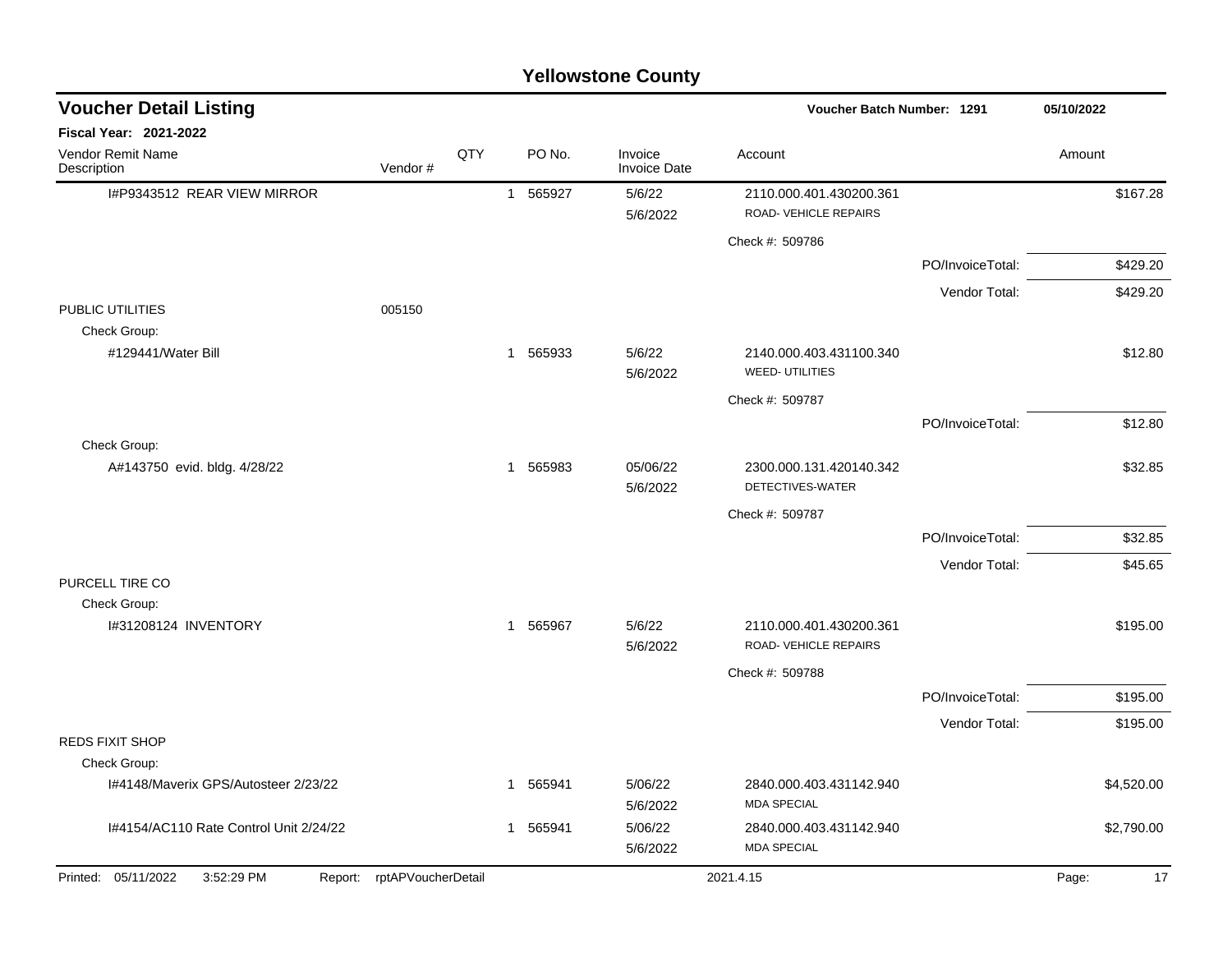| <b>Yellowstone County</b>                            |                            |     |                |                      |                                             |                                                  |                  |             |  |
|------------------------------------------------------|----------------------------|-----|----------------|----------------------|---------------------------------------------|--------------------------------------------------|------------------|-------------|--|
| <b>Voucher Detail Listing</b>                        |                            |     |                |                      |                                             | Voucher Batch Number: 1291                       |                  | 05/10/2022  |  |
| Fiscal Year: 2021-2022                               |                            |     |                |                      |                                             |                                                  |                  |             |  |
| Vendor Remit Name<br>Description                     | Vendor#                    | QTY |                | PO No.               | Invoice<br><b>Invoice Date</b>              | Account                                          |                  | Amount      |  |
| I#P9343512 REAR VIEW MIRROR                          |                            |     | $\overline{1}$ | 565927               | 5/6/22<br>5/6/2022                          | 2110.000.401.430200.361<br>ROAD-VEHICLE REPAIRS  |                  | \$167.28    |  |
|                                                      |                            |     |                |                      |                                             | Check #: 509786                                  |                  |             |  |
|                                                      |                            |     |                |                      |                                             |                                                  | PO/InvoiceTotal: | \$429.20    |  |
|                                                      |                            |     |                |                      |                                             |                                                  | Vendor Total:    | \$429.20    |  |
| PUBLIC UTILITIES<br>Check Group:                     | 005150                     |     |                |                      |                                             |                                                  |                  |             |  |
| #129441/Water Bill                                   |                            |     | -1             | 565933               | 5/6/22<br>5/6/2022                          | 2140.000.403.431100.340<br><b>WEED-UTILITIES</b> |                  | \$12.80     |  |
|                                                      |                            |     |                |                      |                                             | Check #: 509787                                  |                  |             |  |
|                                                      |                            |     |                |                      |                                             |                                                  | PO/InvoiceTotal: | \$12.80     |  |
| Check Group:                                         |                            |     |                |                      |                                             |                                                  |                  |             |  |
| A#143750 evid. bldg. 4/28/22                         |                            |     | 1 565983       | 05/06/22<br>5/6/2022 | 2300.000.131.420140.342<br>DETECTIVES-WATER |                                                  | \$32.85          |             |  |
|                                                      |                            |     |                |                      |                                             | Check #: 509787                                  |                  |             |  |
|                                                      |                            |     |                |                      |                                             |                                                  | PO/InvoiceTotal: | \$32.85     |  |
|                                                      |                            |     |                |                      |                                             |                                                  | Vendor Total:    | \$45.65     |  |
| PURCELL TIRE CO                                      |                            |     |                |                      |                                             |                                                  |                  |             |  |
| Check Group:<br>I#31208124 INVENTORY                 |                            |     | $\mathbf{1}$   | 565967               | 5/6/22                                      | 2110.000.401.430200.361                          |                  | \$195.00    |  |
|                                                      |                            |     |                |                      | 5/6/2022                                    | ROAD-VEHICLE REPAIRS                             |                  |             |  |
|                                                      |                            |     |                |                      |                                             | Check #: 509788                                  |                  |             |  |
|                                                      |                            |     |                |                      |                                             |                                                  | PO/InvoiceTotal: | \$195.00    |  |
|                                                      |                            |     |                |                      |                                             |                                                  | Vendor Total:    | \$195.00    |  |
| <b>REDS FIXIT SHOP</b>                               |                            |     |                |                      |                                             |                                                  |                  |             |  |
| Check Group:<br>I#4148/Maverix GPS/Autosteer 2/23/22 |                            |     |                | 1 565941             | 5/06/22                                     | 2840.000.403.431142.940                          |                  | \$4,520.00  |  |
|                                                      |                            |     |                |                      | 5/6/2022                                    | <b>MDA SPECIAL</b>                               |                  |             |  |
| I#4154/AC110 Rate Control Unit 2/24/22               |                            |     |                | 1 565941             | 5/06/22                                     | 2840.000.403.431142.940                          |                  | \$2,790.00  |  |
|                                                      |                            |     |                |                      | 5/6/2022                                    | <b>MDA SPECIAL</b>                               |                  |             |  |
| Printed: 05/11/2022<br>3:52:29 PM                    | Report: rptAPVoucherDetail |     |                |                      |                                             | 2021.4.15                                        |                  | 17<br>Page: |  |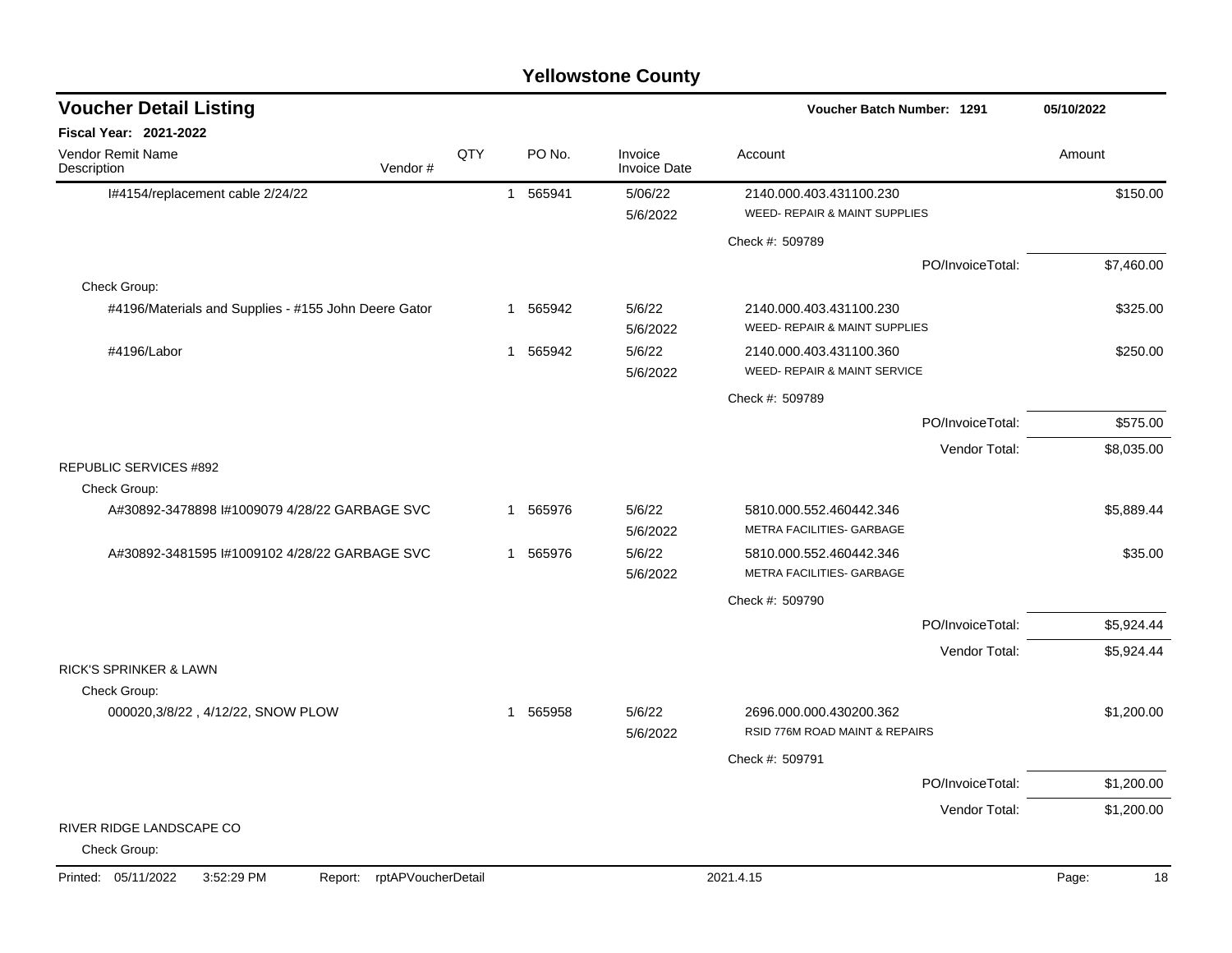| <b>Voucher Detail Listing</b>                                      |     |    |          |                                | Voucher Batch Number: 1291                                |                  | 05/10/2022  |
|--------------------------------------------------------------------|-----|----|----------|--------------------------------|-----------------------------------------------------------|------------------|-------------|
| Fiscal Year: 2021-2022                                             |     |    |          |                                |                                                           |                  |             |
| Vendor Remit Name<br>Vendor#<br>Description                        | QTY |    | PO No.   | Invoice<br><b>Invoice Date</b> | Account                                                   |                  | Amount      |
| I#4154/replacement cable 2/24/22                                   |     |    | 1 565941 | 5/06/22                        | 2140.000.403.431100.230                                   |                  | \$150.00    |
|                                                                    |     |    |          | 5/6/2022                       | WEED- REPAIR & MAINT SUPPLIES                             |                  |             |
|                                                                    |     |    |          |                                | Check #: 509789                                           |                  |             |
|                                                                    |     |    |          |                                |                                                           | PO/InvoiceTotal: | \$7,460.00  |
| Check Group:                                                       |     |    |          |                                |                                                           |                  |             |
| #4196/Materials and Supplies - #155 John Deere Gator               |     |    | 1 565942 | 5/6/22<br>5/6/2022             | 2140.000.403.431100.230<br>WEED- REPAIR & MAINT SUPPLIES  |                  | \$325.00    |
| #4196/Labor                                                        |     | 1  | 565942   | 5/6/22<br>5/6/2022             | 2140.000.403.431100.360<br>WEED- REPAIR & MAINT SERVICE   |                  | \$250.00    |
|                                                                    |     |    |          |                                | Check #: 509789                                           |                  |             |
|                                                                    |     |    |          |                                |                                                           | PO/InvoiceTotal: | \$575.00    |
|                                                                    |     |    |          |                                |                                                           | Vendor Total:    | \$8,035.00  |
| <b>REPUBLIC SERVICES #892</b><br>Check Group:                      |     |    |          |                                |                                                           |                  |             |
| A#30892-3478898 I#1009079 4/28/22 GARBAGE SVC                      |     | 1. | 565976   | 5/6/22<br>5/6/2022             | 5810.000.552.460442.346<br>METRA FACILITIES- GARBAGE      |                  | \$5,889.44  |
| A#30892-3481595 #1009102 4/28/22 GARBAGE SVC                       |     |    | 1 565976 | 5/6/22<br>5/6/2022             | 5810.000.552.460442.346<br>METRA FACILITIES- GARBAGE      |                  | \$35.00     |
|                                                                    |     |    |          |                                | Check #: 509790                                           |                  |             |
|                                                                    |     |    |          |                                |                                                           | PO/InvoiceTotal: | \$5,924.44  |
|                                                                    |     |    |          |                                |                                                           | Vendor Total:    | \$5,924.44  |
| <b>RICK'S SPRINKER &amp; LAWN</b>                                  |     |    |          |                                |                                                           |                  |             |
| Check Group:                                                       |     |    |          |                                |                                                           |                  |             |
| 000020,3/8/22, 4/12/22, SNOW PLOW                                  |     |    | 1 565958 | 5/6/22<br>5/6/2022             | 2696.000.000.430200.362<br>RSID 776M ROAD MAINT & REPAIRS |                  | \$1,200.00  |
|                                                                    |     |    |          |                                | Check #: 509791                                           |                  |             |
|                                                                    |     |    |          |                                |                                                           | PO/InvoiceTotal: | \$1,200.00  |
|                                                                    |     |    |          |                                |                                                           | Vendor Total:    | \$1,200.00  |
| RIVER RIDGE LANDSCAPE CO<br>Check Group:                           |     |    |          |                                |                                                           |                  |             |
| rptAPVoucherDetail<br>Printed: 05/11/2022<br>3:52:29 PM<br>Report: |     |    |          |                                | 2021.4.15                                                 |                  | Page:<br>18 |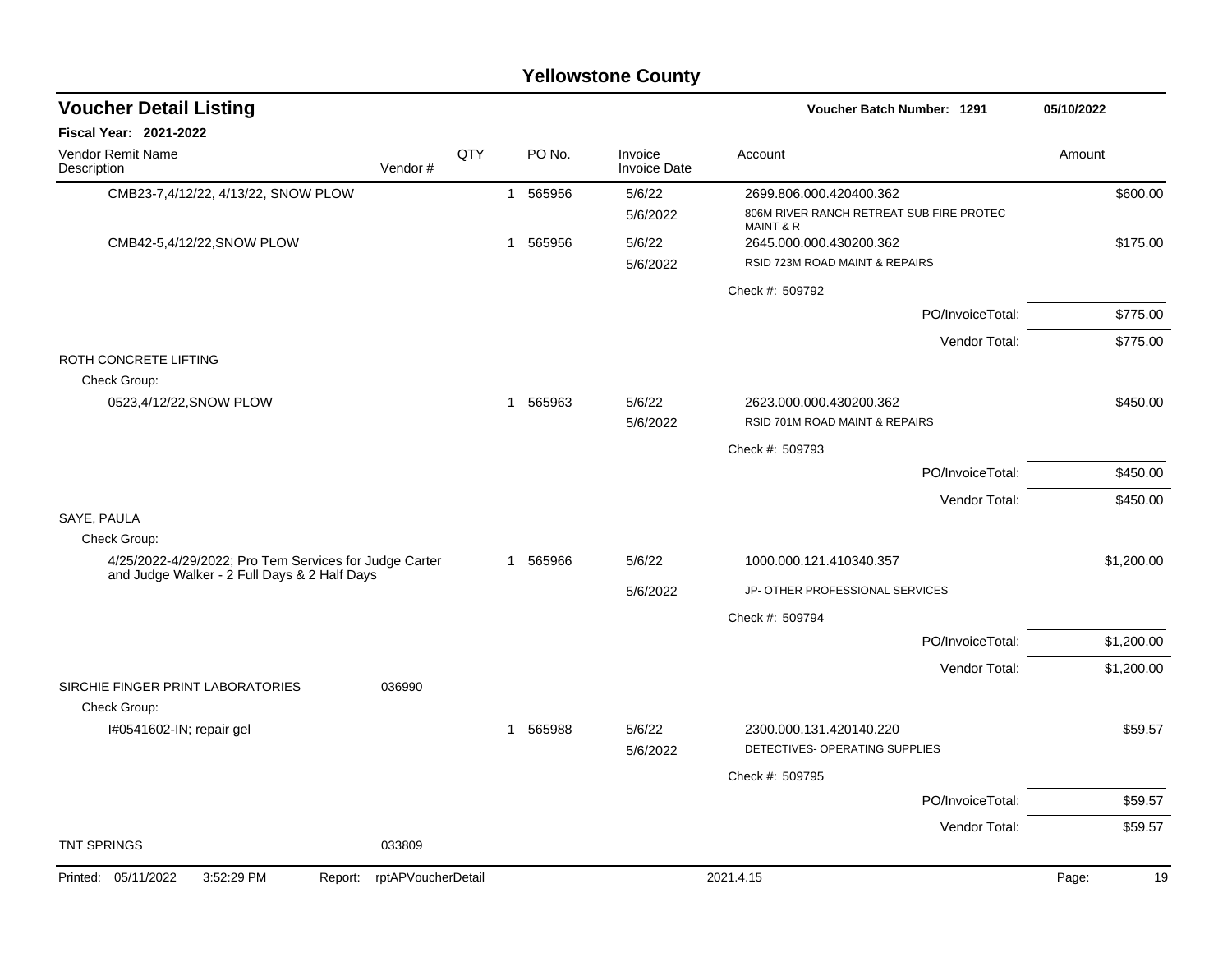|                                                                                                        |         |     |   |          | <b>Yellowstone County</b>      |                                                                  |                  |            |
|--------------------------------------------------------------------------------------------------------|---------|-----|---|----------|--------------------------------|------------------------------------------------------------------|------------------|------------|
| <b>Voucher Detail Listing</b>                                                                          |         |     |   |          |                                | Voucher Batch Number: 1291                                       |                  | 05/10/2022 |
| Fiscal Year: 2021-2022                                                                                 |         |     |   |          |                                |                                                                  |                  |            |
| Vendor Remit Name<br>Description                                                                       | Vendor# | QTY |   | PO No.   | Invoice<br><b>Invoice Date</b> | Account                                                          |                  | Amount     |
| CMB23-7,4/12/22, 4/13/22, SNOW PLOW                                                                    |         |     |   | 1 565956 | 5/6/22                         | 2699.806.000.420400.362                                          |                  | \$600.00   |
|                                                                                                        |         |     |   |          | 5/6/2022                       | 806M RIVER RANCH RETREAT SUB FIRE PROTEC<br><b>MAINT &amp; R</b> |                  |            |
| CMB42-5,4/12/22, SNOW PLOW                                                                             |         |     |   | 1 565956 | 5/6/22                         | 2645.000.000.430200.362                                          |                  | \$175.00   |
|                                                                                                        |         |     |   |          | 5/6/2022                       | RSID 723M ROAD MAINT & REPAIRS                                   |                  |            |
|                                                                                                        |         |     |   |          |                                | Check #: 509792                                                  |                  |            |
|                                                                                                        |         |     |   |          |                                |                                                                  | PO/InvoiceTotal: | \$775.00   |
|                                                                                                        |         |     |   |          |                                |                                                                  | Vendor Total:    | \$775.00   |
| ROTH CONCRETE LIFTING                                                                                  |         |     |   |          |                                |                                                                  |                  |            |
| Check Group:<br>0523,4/12/22, SNOW PLOW                                                                |         |     |   |          |                                |                                                                  |                  |            |
|                                                                                                        |         |     |   | 1 565963 | 5/6/22<br>5/6/2022             | 2623.000.000.430200.362<br>RSID 701M ROAD MAINT & REPAIRS        |                  | \$450.00   |
|                                                                                                        |         |     |   |          |                                | Check #: 509793                                                  |                  |            |
|                                                                                                        |         |     |   |          |                                |                                                                  | PO/InvoiceTotal: | \$450.00   |
|                                                                                                        |         |     |   |          |                                |                                                                  | Vendor Total:    | \$450.00   |
| SAYE, PAULA                                                                                            |         |     |   |          |                                |                                                                  |                  |            |
| Check Group:                                                                                           |         |     |   |          |                                |                                                                  |                  |            |
| 4/25/2022-4/29/2022; Pro Tem Services for Judge Carter<br>and Judge Walker - 2 Full Days & 2 Half Days |         |     |   | 1 565966 | 5/6/22                         | 1000.000.121.410340.357                                          |                  | \$1,200.00 |
|                                                                                                        |         |     |   |          | 5/6/2022                       | JP- OTHER PROFESSIONAL SERVICES                                  |                  |            |
|                                                                                                        |         |     |   |          |                                | Check #: 509794                                                  |                  |            |
|                                                                                                        |         |     |   |          |                                |                                                                  | PO/InvoiceTotal: | \$1,200.00 |
|                                                                                                        |         |     |   |          |                                |                                                                  | Vendor Total:    | \$1,200.00 |
| SIRCHIE FINGER PRINT LABORATORIES                                                                      | 036990  |     |   |          |                                |                                                                  |                  |            |
| Check Group:                                                                                           |         |     | 1 | 565988   | 5/6/22                         | 2300.000.131.420140.220                                          |                  | \$59.57    |
| I#0541602-IN; repair gel                                                                               |         |     |   |          | 5/6/2022                       | DETECTIVES- OPERATING SUPPLIES                                   |                  |            |
|                                                                                                        |         |     |   |          |                                | Check #: 509795                                                  |                  |            |
|                                                                                                        |         |     |   |          |                                |                                                                  | PO/InvoiceTotal: | \$59.57    |
|                                                                                                        |         |     |   |          |                                |                                                                  | Vendor Total:    | \$59.57    |
| <b>TNT SPRINGS</b>                                                                                     | 033809  |     |   |          |                                |                                                                  |                  |            |

#### Printed: 05/11/2022 3:52:29 PM Report: rptAPVoucherDetail 2021.4.15 2021.4.15 Page: 19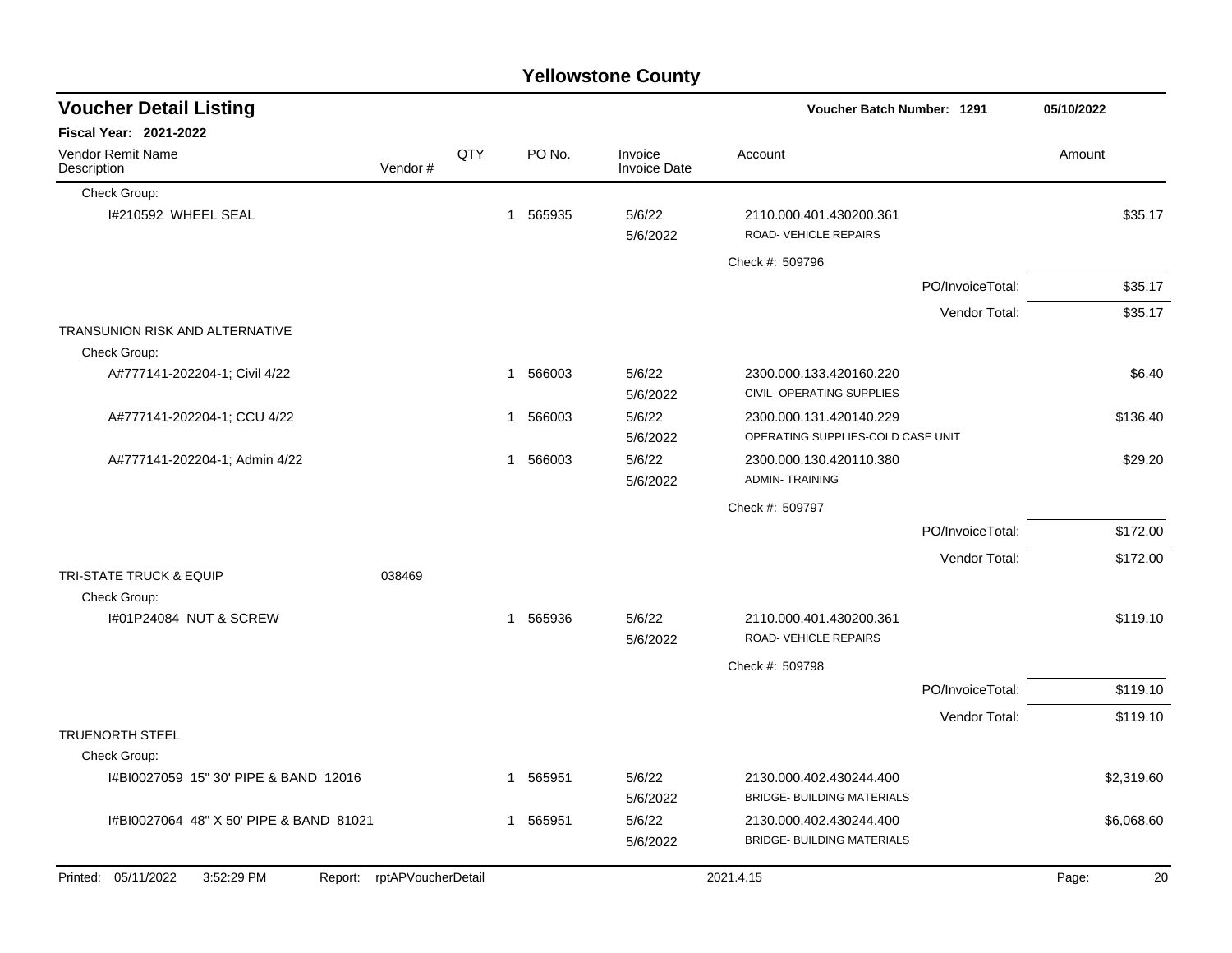|                                         |                            |     |                        | <b>Yellowstone County</b>      |                                                              |                  |             |
|-----------------------------------------|----------------------------|-----|------------------------|--------------------------------|--------------------------------------------------------------|------------------|-------------|
| <b>Voucher Detail Listing</b>           |                            |     |                        |                                | <b>Voucher Batch Number: 1291</b>                            |                  | 05/10/2022  |
| Fiscal Year: 2021-2022                  |                            |     |                        |                                |                                                              |                  |             |
| Vendor Remit Name<br>Description        | Vendor#                    | QTY | PO No.                 | Invoice<br><b>Invoice Date</b> | Account                                                      |                  | Amount      |
| Check Group:                            |                            |     |                        |                                |                                                              |                  |             |
| I#210592 WHEEL SEAL                     |                            |     | 565935<br>$\mathbf{1}$ | 5/6/22<br>5/6/2022             | 2110.000.401.430200.361<br>ROAD-VEHICLE REPAIRS              |                  | \$35.17     |
|                                         |                            |     |                        |                                | Check #: 509796                                              |                  |             |
|                                         |                            |     |                        |                                |                                                              | PO/InvoiceTotal: | \$35.17     |
|                                         |                            |     |                        |                                |                                                              | Vendor Total:    | \$35.17     |
| <b>TRANSUNION RISK AND ALTERNATIVE</b>  |                            |     |                        |                                |                                                              |                  |             |
| Check Group:                            |                            |     |                        |                                |                                                              |                  |             |
| A#777141-202204-1; Civil 4/22           |                            |     | 566003<br>1            | 5/6/22<br>5/6/2022             | 2300.000.133.420160.220<br>CIVIL- OPERATING SUPPLIES         |                  | \$6.40      |
| A#777141-202204-1; CCU 4/22             |                            |     | 566003<br>1            | 5/6/22<br>5/6/2022             | 2300.000.131.420140.229<br>OPERATING SUPPLIES-COLD CASE UNIT |                  | \$136.40    |
| A#777141-202204-1; Admin 4/22           |                            |     | 1 566003               | 5/6/22<br>5/6/2022             | 2300.000.130.420110.380<br><b>ADMIN-TRAINING</b>             |                  | \$29.20     |
|                                         |                            |     |                        |                                | Check #: 509797                                              |                  |             |
|                                         |                            |     |                        |                                |                                                              | PO/InvoiceTotal: | \$172.00    |
|                                         |                            |     |                        |                                |                                                              | Vendor Total:    | \$172.00    |
| <b>TRI-STATE TRUCK &amp; EQUIP</b>      | 038469                     |     |                        |                                |                                                              |                  |             |
| Check Group:                            |                            |     |                        |                                |                                                              |                  |             |
| I#01P24084 NUT & SCREW                  |                            |     | 1 565936               | 5/6/22<br>5/6/2022             | 2110.000.401.430200.361<br>ROAD-VEHICLE REPAIRS              |                  | \$119.10    |
|                                         |                            |     |                        |                                | Check #: 509798                                              |                  |             |
|                                         |                            |     |                        |                                |                                                              | PO/InvoiceTotal: | \$119.10    |
|                                         |                            |     |                        |                                |                                                              | Vendor Total:    | \$119.10    |
| <b>TRUENORTH STEEL</b><br>Check Group:  |                            |     |                        |                                |                                                              |                  |             |
| I#BI0027059 15" 30' PIPE & BAND 12016   |                            |     | 1 565951               | 5/6/22<br>5/6/2022             | 2130.000.402.430244.400<br><b>BRIDGE- BUILDING MATERIALS</b> |                  | \$2,319.60  |
| I#BI0027064 48" X 50' PIPE & BAND 81021 |                            |     | 1 565951               | 5/6/22<br>5/6/2022             | 2130.000.402.430244.400<br><b>BRIDGE- BUILDING MATERIALS</b> |                  | \$6,068.60  |
| 3:52:29 PM<br>Printed: 05/11/2022       | Report: rptAPVoucherDetail |     |                        |                                | 2021.4.15                                                    |                  | Page:<br>20 |
|                                         |                            |     |                        |                                |                                                              |                  |             |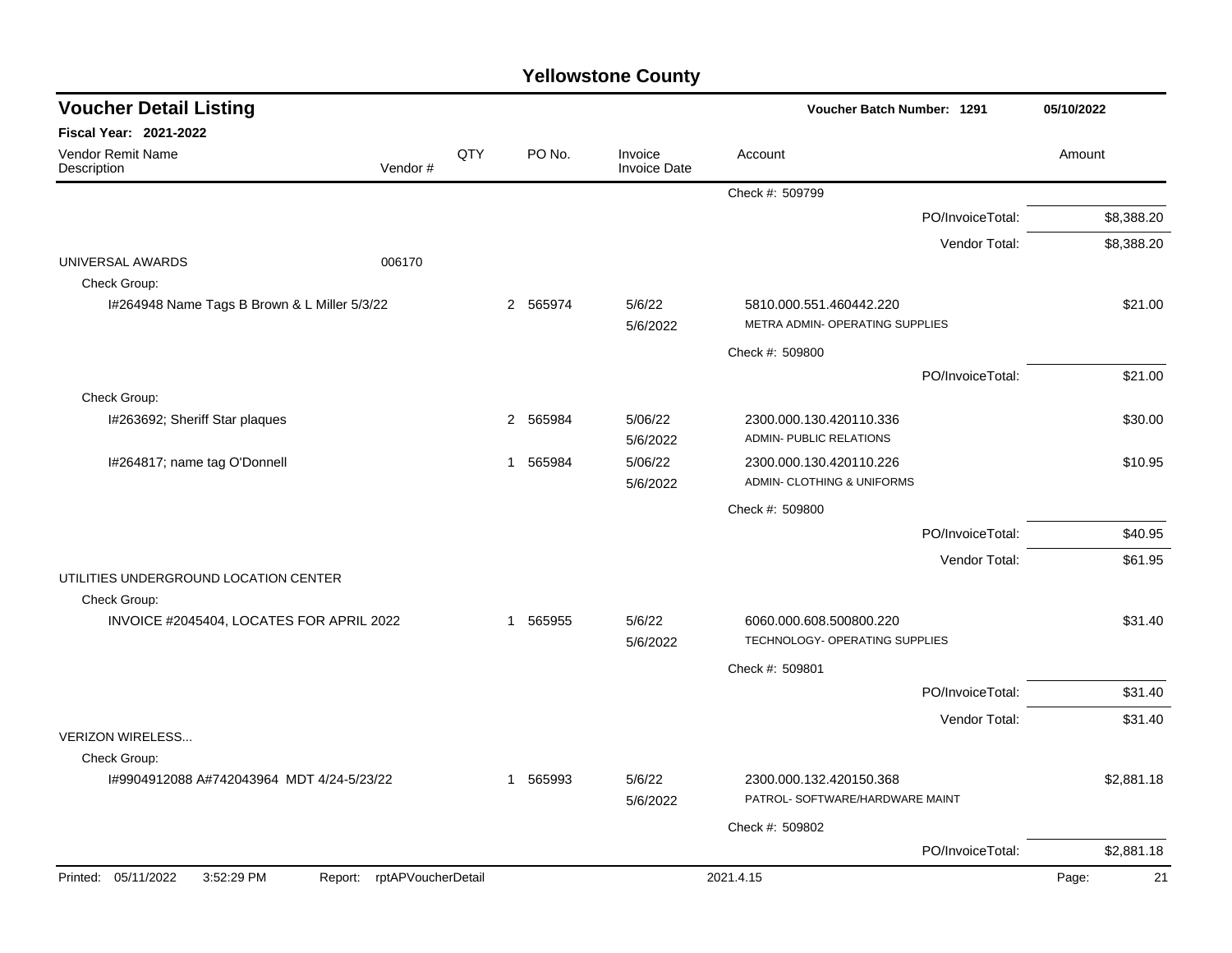| <b>Voucher Detail Listing</b>                                   |     |          |                                | Voucher Batch Number: 1291                                 | 05/10/2022  |
|-----------------------------------------------------------------|-----|----------|--------------------------------|------------------------------------------------------------|-------------|
| <b>Fiscal Year: 2021-2022</b>                                   |     |          |                                |                                                            |             |
| <b>Vendor Remit Name</b><br>Vendor#<br>Description              | QTY | PO No.   | Invoice<br><b>Invoice Date</b> | Account                                                    | Amount      |
|                                                                 |     |          |                                | Check #: 509799                                            |             |
|                                                                 |     |          |                                | PO/InvoiceTotal:                                           | \$8,388.20  |
|                                                                 |     |          |                                | Vendor Total:                                              | \$8,388.20  |
| UNIVERSAL AWARDS<br>006170<br>Check Group:                      |     |          |                                |                                                            |             |
| I#264948 Name Tags B Brown & L Miller 5/3/22                    |     | 2 565974 | 5/6/22<br>5/6/2022             | 5810.000.551.460442.220<br>METRA ADMIN- OPERATING SUPPLIES | \$21.00     |
|                                                                 |     |          |                                | Check #: 509800                                            |             |
|                                                                 |     |          |                                | PO/InvoiceTotal:                                           | \$21.00     |
| Check Group:                                                    |     |          |                                |                                                            |             |
| I#263692; Sheriff Star plaques                                  |     | 2 565984 | 5/06/22<br>5/6/2022            | 2300.000.130.420110.336<br>ADMIN- PUBLIC RELATIONS         | \$30.00     |
| I#264817; name tag O'Donnell                                    |     | 1 565984 | 5/06/22<br>5/6/2022            | 2300.000.130.420110.226<br>ADMIN- CLOTHING & UNIFORMS      | \$10.95     |
|                                                                 |     |          |                                | Check #: 509800                                            |             |
|                                                                 |     |          |                                | PO/InvoiceTotal:                                           | \$40.95     |
|                                                                 |     |          |                                | Vendor Total:                                              | \$61.95     |
| UTILITIES UNDERGROUND LOCATION CENTER<br>Check Group:           |     |          |                                |                                                            |             |
| INVOICE #2045404, LOCATES FOR APRIL 2022                        |     | 1 565955 | 5/6/22<br>5/6/2022             | 6060.000.608.500800.220<br>TECHNOLOGY- OPERATING SUPPLIES  | \$31.40     |
|                                                                 |     |          |                                | Check #: 509801                                            |             |
|                                                                 |     |          |                                | PO/InvoiceTotal:                                           | \$31.40     |
|                                                                 |     |          |                                | Vendor Total:                                              | \$31.40     |
| <b>VERIZON WIRELESS</b><br>Check Group:                         |     |          |                                |                                                            |             |
| I#9904912088 A#742043964 MDT 4/24-5/23/22                       |     | 1 565993 | 5/6/22<br>5/6/2022             | 2300.000.132.420150.368<br>PATROL- SOFTWARE/HARDWARE MAINT | \$2,881.18  |
|                                                                 |     |          |                                | Check #: 509802                                            |             |
|                                                                 |     |          |                                | PO/InvoiceTotal:                                           | \$2,881.18  |
| Printed: 05/11/2022<br>3:52:29 PM<br>Report: rptAPVoucherDetail |     |          |                                | 2021.4.15                                                  | 21<br>Page: |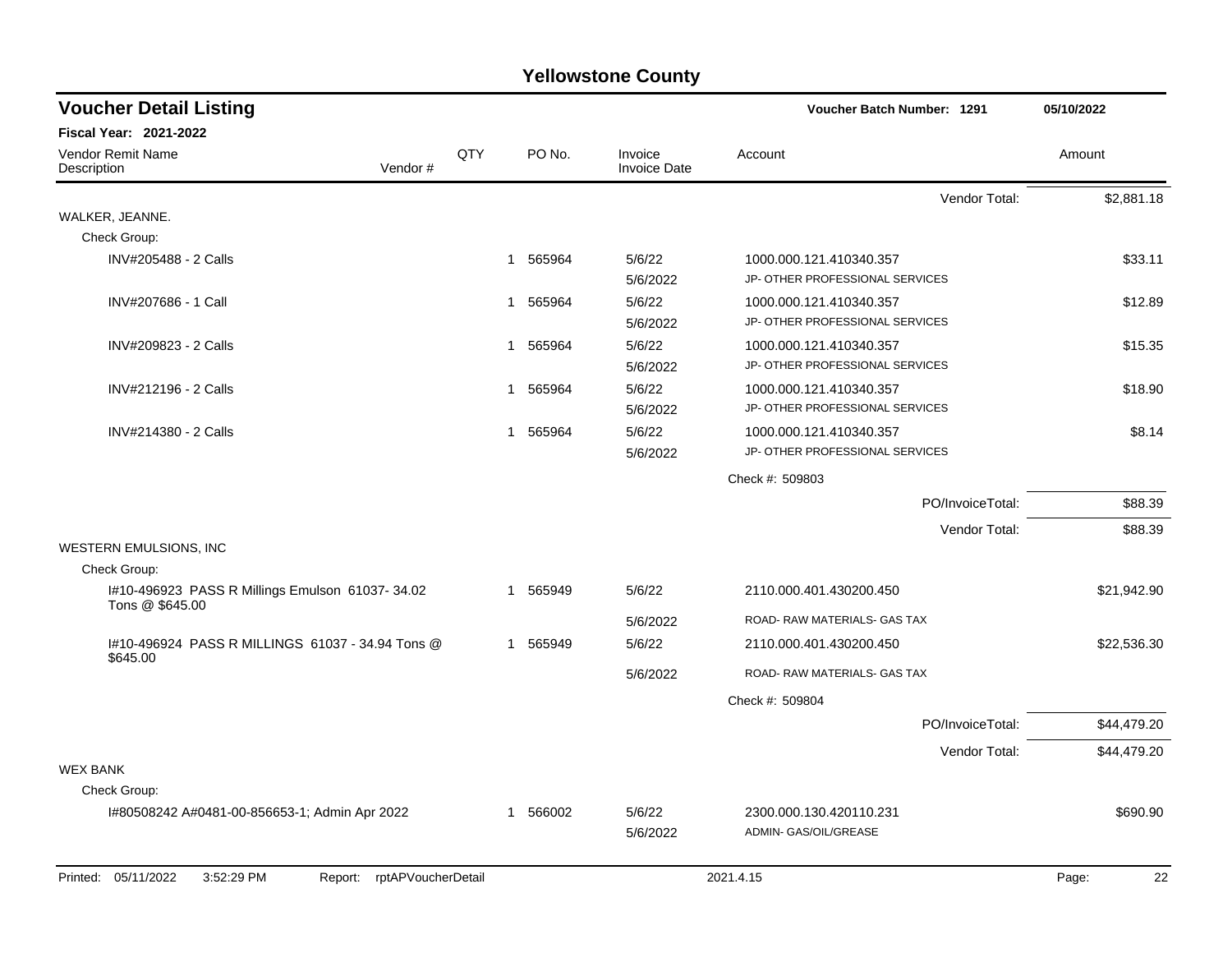| <b>Voucher Detail Listing</b>                                      |     |             |                                | Voucher Batch Number: 1291                                 | 05/10/2022  |
|--------------------------------------------------------------------|-----|-------------|--------------------------------|------------------------------------------------------------|-------------|
| Fiscal Year: 2021-2022                                             |     |             |                                |                                                            |             |
| Vendor Remit Name<br>Vendor#<br>Description                        | QTY | PO No.      | Invoice<br><b>Invoice Date</b> | Account                                                    | Amount      |
|                                                                    |     |             |                                | Vendor Total:                                              | \$2,881.18  |
| WALKER, JEANNE.                                                    |     |             |                                |                                                            |             |
| Check Group:                                                       |     |             |                                |                                                            |             |
| INV#205488 - 2 Calls                                               |     | 1 565964    | 5/6/22<br>5/6/2022             | 1000.000.121.410340.357<br>JP- OTHER PROFESSIONAL SERVICES | \$33.11     |
| INV#207686 - 1 Call                                                |     | 1 565964    | 5/6/22<br>5/6/2022             | 1000.000.121.410340.357<br>JP- OTHER PROFESSIONAL SERVICES | \$12.89     |
| INV#209823 - 2 Calls                                               |     | 1 565964    | 5/6/22<br>5/6/2022             | 1000.000.121.410340.357<br>JP- OTHER PROFESSIONAL SERVICES | \$15.35     |
| INV#212196 - 2 Calls                                               |     | 565964<br>1 | 5/6/22                         | 1000.000.121.410340.357                                    | \$18.90     |
|                                                                    |     |             | 5/6/2022                       | JP- OTHER PROFESSIONAL SERVICES                            |             |
| INV#214380 - 2 Calls                                               |     | 565964<br>1 | 5/6/22<br>5/6/2022             | 1000.000.121.410340.357<br>JP- OTHER PROFESSIONAL SERVICES | \$8.14      |
|                                                                    |     |             |                                | Check #: 509803                                            |             |
|                                                                    |     |             |                                | PO/InvoiceTotal:                                           | \$88.39     |
|                                                                    |     |             |                                | Vendor Total:                                              | \$88.39     |
| WESTERN EMULSIONS, INC                                             |     |             |                                |                                                            |             |
| Check Group:                                                       |     |             |                                |                                                            |             |
| I#10-496923 PASS R Millings Emulson 61037-34.02<br>Tons @ \$645.00 |     | 1 565949    | 5/6/22                         | 2110.000.401.430200.450                                    | \$21,942.90 |
|                                                                    |     |             | 5/6/2022                       | ROAD- RAW MATERIALS- GAS TAX                               |             |
| 1#10-496924 PASS R MILLINGS 61037 - 34.94 Tons @                   |     | 1 565949    | 5/6/22                         | 2110.000.401.430200.450                                    | \$22,536.30 |
| \$645.00                                                           |     |             | 5/6/2022                       | ROAD- RAW MATERIALS- GAS TAX                               |             |
|                                                                    |     |             |                                | Check #: 509804                                            |             |
|                                                                    |     |             |                                | PO/InvoiceTotal:                                           | \$44,479.20 |
|                                                                    |     |             |                                | Vendor Total:                                              | \$44,479.20 |
| <b>WEX BANK</b><br>Check Group:                                    |     |             |                                |                                                            |             |
| I#80508242 A#0481-00-856653-1; Admin Apr 2022                      |     | 1 566002    | 5/6/22                         | 2300.000.130.420110.231                                    | \$690.90    |
|                                                                    |     |             | 5/6/2022                       | ADMIN- GAS/OIL/GREASE                                      |             |
| Printed: 05/11/2022<br>3:52:29 PM<br>rptAPVoucherDetail<br>Report: |     |             |                                | 2021.4.15                                                  | Page:<br>22 |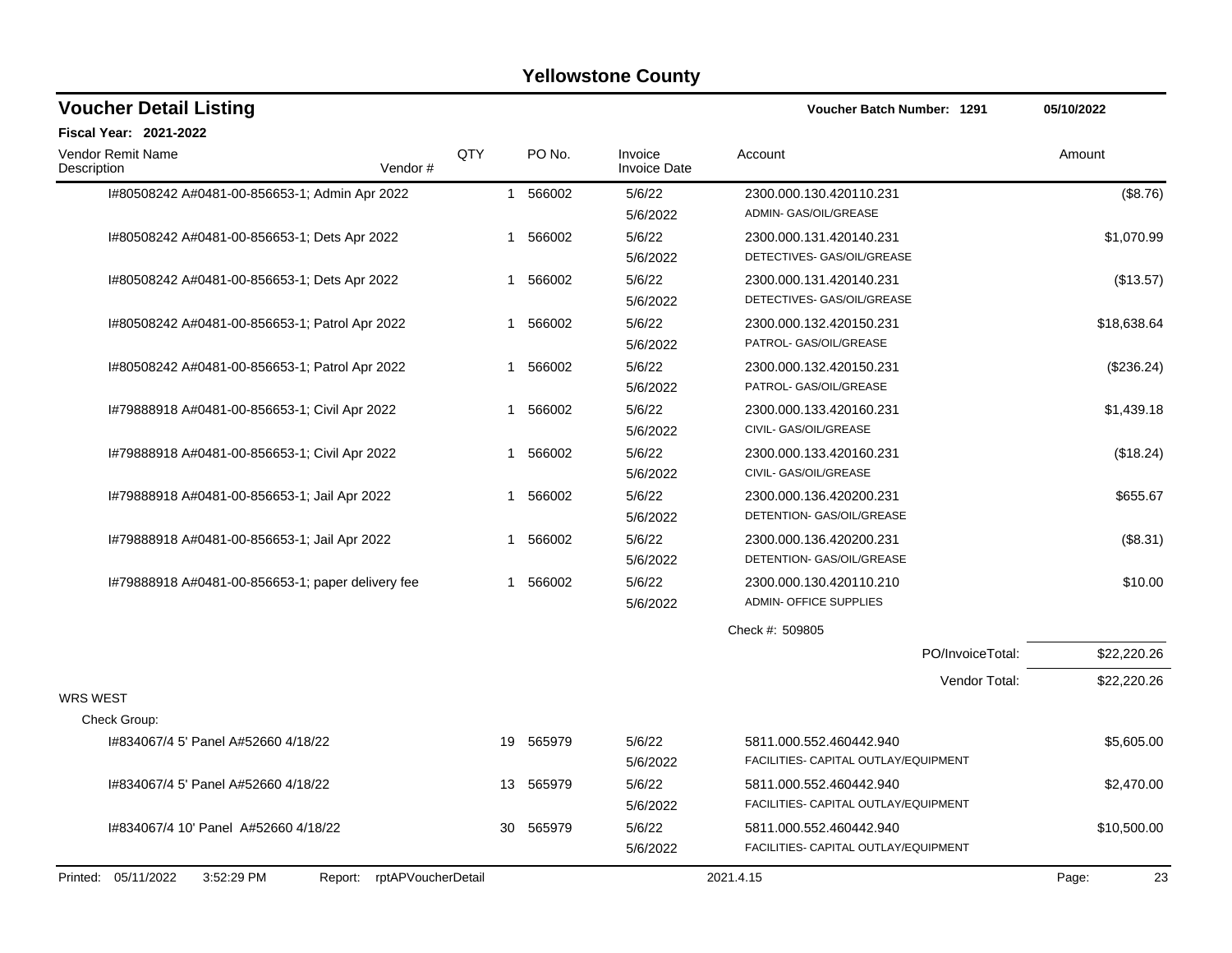| <b>Voucher Detail Listing</b>                                   |              |          |                                | Voucher Batch Number: 1291                                      | 05/10/2022  |
|-----------------------------------------------------------------|--------------|----------|--------------------------------|-----------------------------------------------------------------|-------------|
| Fiscal Year: 2021-2022                                          |              |          |                                |                                                                 |             |
| Vendor Remit Name<br>Description<br>Vendor#                     | QTY          | PO No.   | Invoice<br><b>Invoice Date</b> | Account                                                         | Amount      |
| I#80508242 A#0481-00-856653-1; Admin Apr 2022                   | $\mathbf{1}$ | 566002   | 5/6/22<br>5/6/2022             | 2300.000.130.420110.231<br>ADMIN- GAS/OIL/GREASE                | (\$8.76)    |
| I#80508242 A#0481-00-856653-1; Dets Apr 2022                    | 1            | 566002   | 5/6/22<br>5/6/2022             | 2300.000.131.420140.231<br>DETECTIVES- GAS/OIL/GREASE           | \$1,070.99  |
| I#80508242 A#0481-00-856653-1; Dets Apr 2022                    |              | 1 566002 | 5/6/22<br>5/6/2022             | 2300.000.131.420140.231<br>DETECTIVES- GAS/OIL/GREASE           | (\$13.57)   |
| I#80508242 A#0481-00-856653-1; Patrol Apr 2022                  |              | 1 566002 | 5/6/22<br>5/6/2022             | 2300.000.132.420150.231<br>PATROL- GAS/OIL/GREASE               | \$18,638.64 |
| I#80508242 A#0481-00-856653-1; Patrol Apr 2022                  |              | 1 566002 | 5/6/22<br>5/6/2022             | 2300.000.132.420150.231<br>PATROL- GAS/OIL/GREASE               | (\$236.24)  |
| I#79888918 A#0481-00-856653-1; Civil Apr 2022                   | 1            | 566002   | 5/6/22<br>5/6/2022             | 2300.000.133.420160.231<br>CIVIL- GAS/OIL/GREASE                | \$1,439.18  |
| I#79888918 A#0481-00-856653-1; Civil Apr 2022                   | 1            | 566002   | 5/6/22<br>5/6/2022             | 2300.000.133.420160.231<br>CIVIL- GAS/OIL/GREASE                | (\$18.24)   |
| I#79888918 A#0481-00-856653-1; Jail Apr 2022                    | 1            | 566002   | 5/6/22<br>5/6/2022             | 2300.000.136.420200.231<br>DETENTION- GAS/OIL/GREASE            | \$655.67    |
| I#79888918 A#0481-00-856653-1; Jail Apr 2022                    | 1            | 566002   | 5/6/22<br>5/6/2022             | 2300.000.136.420200.231<br>DETENTION- GAS/OIL/GREASE            | (\$8.31)    |
| I#79888918 A#0481-00-856653-1; paper delivery fee               | $\mathbf 1$  | 566002   | 5/6/22<br>5/6/2022             | 2300.000.130.420110.210<br><b>ADMIN- OFFICE SUPPLIES</b>        | \$10.00     |
|                                                                 |              |          |                                | Check #: 509805                                                 |             |
|                                                                 |              |          |                                | PO/InvoiceTotal:                                                | \$22,220.26 |
| <b>WRS WEST</b>                                                 |              |          |                                | Vendor Total:                                                   | \$22,220.26 |
| Check Group:                                                    |              |          |                                |                                                                 |             |
| I#834067/4 5' Panel A#52660 4/18/22                             | 19           | 565979   | 5/6/22<br>5/6/2022             | 5811.000.552.460442.940<br>FACILITIES- CAPITAL OUTLAY/EQUIPMENT | \$5,605.00  |
| I#834067/4 5' Panel A#52660 4/18/22                             | 13           | 565979   | 5/6/22<br>5/6/2022             | 5811.000.552.460442.940<br>FACILITIES- CAPITAL OUTLAY/EQUIPMENT | \$2,470.00  |
| I#834067/4 10' Panel A#52660 4/18/22                            | 30           | 565979   | 5/6/22<br>5/6/2022             | 5811.000.552.460442.940<br>FACILITIES- CAPITAL OUTLAY/EQUIPMENT | \$10,500.00 |
| Printed: 05/11/2022<br>3:52:29 PM<br>Report: rptAPVoucherDetail |              |          |                                | 2021.4.15                                                       | 23<br>Page: |